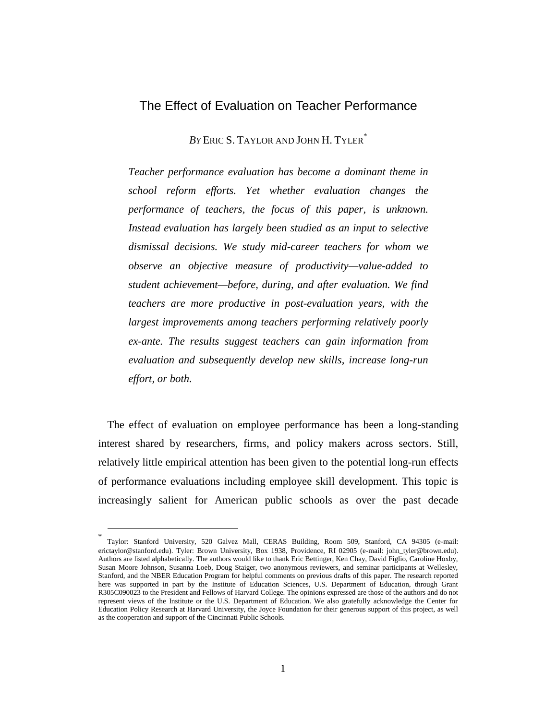# The Effect of Evaluation on Teacher Performance

*B<sup>Y</sup>* ERIC S. TAYLOR AND JOHN H. TYLER\*

*Teacher performance evaluation has become a dominant theme in school reform efforts. Yet whether evaluation changes the performance of teachers, the focus of this paper, is unknown. Instead evaluation has largely been studied as an input to selective dismissal decisions. We study mid-career teachers for whom we observe an objective measure of productivity—value-added to student achievement—before, during, and after evaluation. We find teachers are more productive in post-evaluation years, with the largest improvements among teachers performing relatively poorly ex-ante. The results suggest teachers can gain information from evaluation and subsequently develop new skills, increase long-run effort, or both.*

The effect of evaluation on employee performance has been a long-standing interest shared by researchers, firms, and policy makers across sectors. Still, relatively little empirical attention has been given to the potential long-run effects of performance evaluations including employee skill development. This topic is increasingly salient for American public schools as over the past decade

<sup>\*</sup> Taylor: Stanford University, 520 Galvez Mall, CERAS Building, Room 509, Stanford, CA 94305 (e-mail: erictaylor@stanford.edu). Tyler: Brown University, Box 1938, Providence, RI 02905 (e-mail: john\_tyler@brown.edu). Authors are listed alphabetically. The authors would like to thank Eric Bettinger, Ken Chay, David Figlio, Caroline Hoxby, Susan Moore Johnson, Susanna Loeb, Doug Staiger, two anonymous reviewers, and seminar participants at Wellesley, Stanford, and the NBER Education Program for helpful comments on previous drafts of this paper. The research reported here was supported in part by the Institute of Education Sciences, U.S. Department of Education, through Grant R305C090023 to the President and Fellows of Harvard College. The opinions expressed are those of the authors and do not represent views of the Institute or the U.S. Department of Education. We also gratefully acknowledge the Center for Education Policy Research at Harvard University, the Joyce Foundation for their generous support of this project, as well as the cooperation and support of the Cincinnati Public Schools.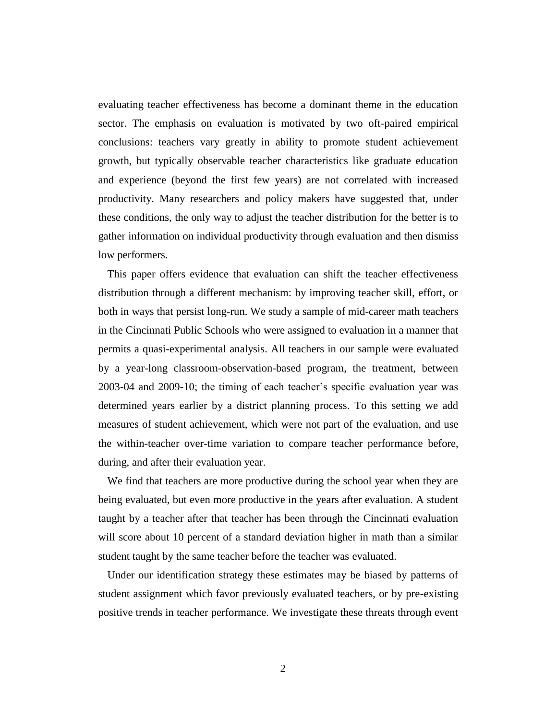evaluating teacher effectiveness has become a dominant theme in the education sector. The emphasis on evaluation is motivated by two oft-paired empirical conclusions: teachers vary greatly in ability to promote student achievement growth, but typically observable teacher characteristics like graduate education and experience (beyond the first few years) are not correlated with increased productivity. Many researchers and policy makers have suggested that, under these conditions, the only way to adjust the teacher distribution for the better is to gather information on individual productivity through evaluation and then dismiss low performers.

This paper offers evidence that evaluation can shift the teacher effectiveness distribution through a different mechanism: by improving teacher skill, effort, or both in ways that persist long-run. We study a sample of mid-career math teachers in the Cincinnati Public Schools who were assigned to evaluation in a manner that permits a quasi-experimental analysis. All teachers in our sample were evaluated by a year-long classroom-observation-based program, the treatment, between 2003-04 and 2009-10; the timing of each teacher's specific evaluation year was determined years earlier by a district planning process. To this setting we add measures of student achievement, which were not part of the evaluation, and use the within-teacher over-time variation to compare teacher performance before, during, and after their evaluation year.

We find that teachers are more productive during the school year when they are being evaluated, but even more productive in the years after evaluation. A student taught by a teacher after that teacher has been through the Cincinnati evaluation will score about 10 percent of a standard deviation higher in math than a similar student taught by the same teacher before the teacher was evaluated.

Under our identification strategy these estimates may be biased by patterns of student assignment which favor previously evaluated teachers, or by pre-existing positive trends in teacher performance. We investigate these threats through event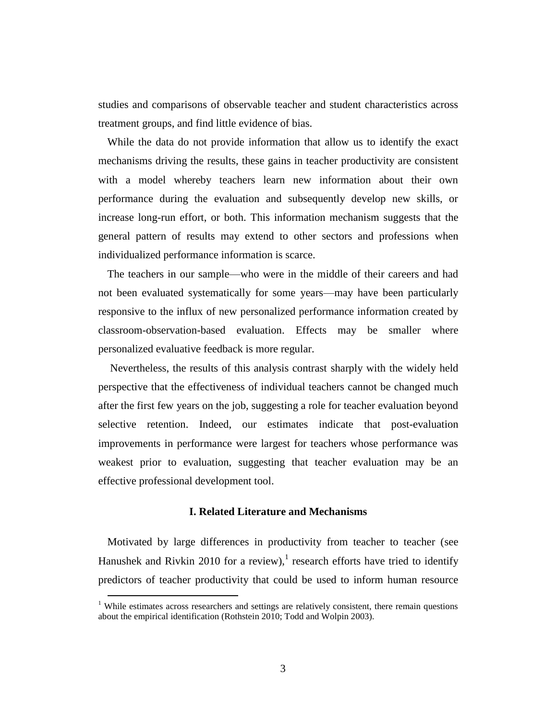studies and comparisons of observable teacher and student characteristics across treatment groups, and find little evidence of bias.

While the data do not provide information that allow us to identify the exact mechanisms driving the results, these gains in teacher productivity are consistent with a model whereby teachers learn new information about their own performance during the evaluation and subsequently develop new skills, or increase long-run effort, or both. This information mechanism suggests that the general pattern of results may extend to other sectors and professions when individualized performance information is scarce.

The teachers in our sample—who were in the middle of their careers and had not been evaluated systematically for some years—may have been particularly responsive to the influx of new personalized performance information created by classroom-observation-based evaluation. Effects may be smaller where personalized evaluative feedback is more regular.

Nevertheless, the results of this analysis contrast sharply with the widely held perspective that the effectiveness of individual teachers cannot be changed much after the first few years on the job, suggesting a role for teacher evaluation beyond selective retention. Indeed, our estimates indicate that post-evaluation improvements in performance were largest for teachers whose performance was weakest prior to evaluation, suggesting that teacher evaluation may be an effective professional development tool.

## **I. Related Literature and Mechanisms**

Motivated by large differences in productivity from teacher to teacher (see Hanushek and Rivkin 2010 for a review),<sup>1</sup> research efforts have tried to identify predictors of teacher productivity that could be used to inform human resource

<sup>&</sup>lt;sup>1</sup> While estimates across researchers and settings are relatively consistent, there remain questions about the empirical identification (Rothstein 2010; Todd and Wolpin 2003).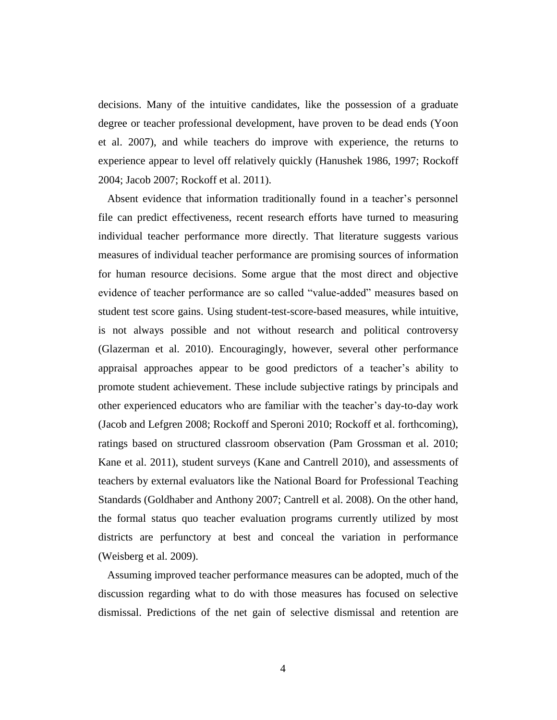decisions. Many of the intuitive candidates, like the possession of a graduate degree or teacher professional development, have proven to be dead ends (Yoon et al. 2007), and while teachers do improve with experience, the returns to experience appear to level off relatively quickly (Hanushek 1986, 1997; Rockoff 2004; Jacob 2007; Rockoff et al. 2011).

Absent evidence that information traditionally found in a teacher's personnel file can predict effectiveness, recent research efforts have turned to measuring individual teacher performance more directly. That literature suggests various measures of individual teacher performance are promising sources of information for human resource decisions. Some argue that the most direct and objective evidence of teacher performance are so called "value-added" measures based on student test score gains. Using student-test-score-based measures, while intuitive, is not always possible and not without research and political controversy (Glazerman et al. 2010). Encouragingly, however, several other performance appraisal approaches appear to be good predictors of a teacher's ability to promote student achievement. These include subjective ratings by principals and other experienced educators who are familiar with the teacher's day-to-day work (Jacob and Lefgren 2008; Rockoff and Speroni 2010; Rockoff et al. forthcoming), ratings based on structured classroom observation (Pam Grossman et al. 2010; Kane et al. 2011), student surveys (Kane and Cantrell 2010), and assessments of teachers by external evaluators like the National Board for Professional Teaching Standards (Goldhaber and Anthony 2007; Cantrell et al. 2008). On the other hand, the formal status quo teacher evaluation programs currently utilized by most districts are perfunctory at best and conceal the variation in performance (Weisberg et al. 2009).

Assuming improved teacher performance measures can be adopted, much of the discussion regarding what to do with those measures has focused on selective dismissal. Predictions of the net gain of selective dismissal and retention are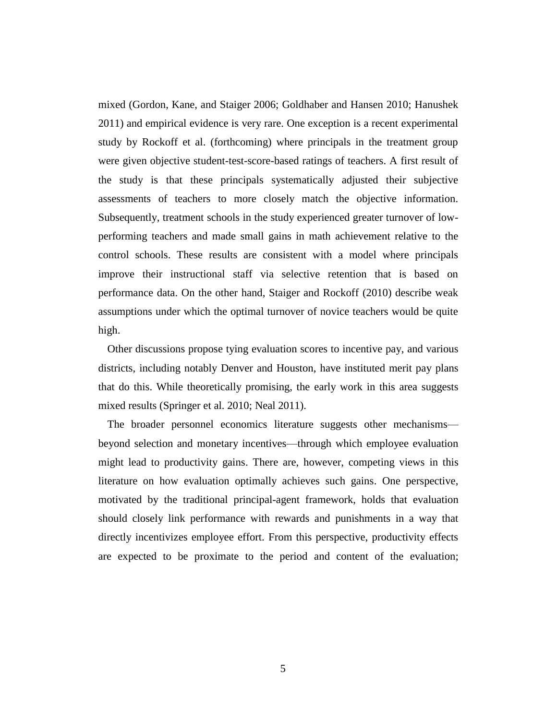mixed (Gordon, Kane, and Staiger 2006; Goldhaber and Hansen 2010; Hanushek 2011) and empirical evidence is very rare. One exception is a recent experimental study by Rockoff et al. (forthcoming) where principals in the treatment group were given objective student-test-score-based ratings of teachers. A first result of the study is that these principals systematically adjusted their subjective assessments of teachers to more closely match the objective information. Subsequently, treatment schools in the study experienced greater turnover of lowperforming teachers and made small gains in math achievement relative to the control schools. These results are consistent with a model where principals improve their instructional staff via selective retention that is based on performance data. On the other hand, Staiger and Rockoff (2010) describe weak assumptions under which the optimal turnover of novice teachers would be quite high.

Other discussions propose tying evaluation scores to incentive pay, and various districts, including notably Denver and Houston, have instituted merit pay plans that do this. While theoretically promising, the early work in this area suggests mixed results (Springer et al. 2010; Neal 2011).

The broader personnel economics literature suggests other mechanisms beyond selection and monetary incentives—through which employee evaluation might lead to productivity gains. There are, however, competing views in this literature on how evaluation optimally achieves such gains. One perspective, motivated by the traditional principal-agent framework, holds that evaluation should closely link performance with rewards and punishments in a way that directly incentivizes employee effort. From this perspective, productivity effects are expected to be proximate to the period and content of the evaluation;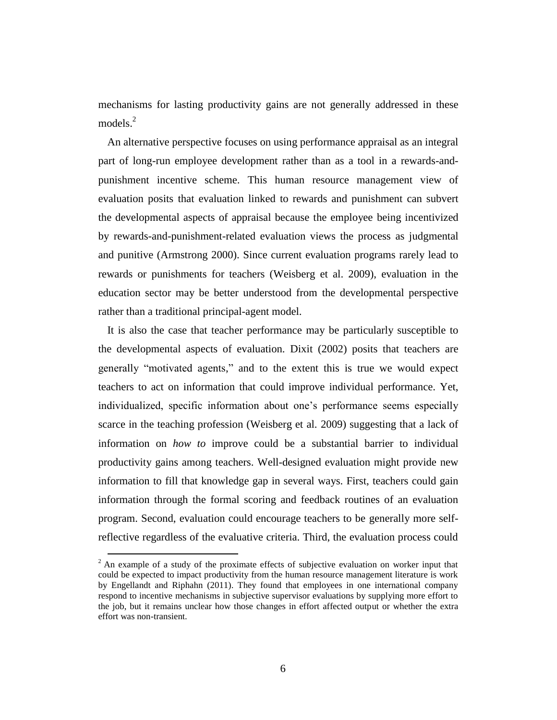mechanisms for lasting productivity gains are not generally addressed in these models. 2

An alternative perspective focuses on using performance appraisal as an integral part of long-run employee development rather than as a tool in a rewards-andpunishment incentive scheme. This human resource management view of evaluation posits that evaluation linked to rewards and punishment can subvert the developmental aspects of appraisal because the employee being incentivized by rewards-and-punishment-related evaluation views the process as judgmental and punitive (Armstrong 2000). Since current evaluation programs rarely lead to rewards or punishments for teachers (Weisberg et al. 2009), evaluation in the education sector may be better understood from the developmental perspective rather than a traditional principal-agent model.

It is also the case that teacher performance may be particularly susceptible to the developmental aspects of evaluation. Dixit (2002) posits that teachers are generally "motivated agents," and to the extent this is true we would expect teachers to act on information that could improve individual performance. Yet, individualized, specific information about one's performance seems especially scarce in the teaching profession (Weisberg et al. 2009) suggesting that a lack of information on *how to* improve could be a substantial barrier to individual productivity gains among teachers. Well-designed evaluation might provide new information to fill that knowledge gap in several ways. First, teachers could gain information through the formal scoring and feedback routines of an evaluation program. Second, evaluation could encourage teachers to be generally more selfreflective regardless of the evaluative criteria. Third, the evaluation process could

 $<sup>2</sup>$  An example of a study of the proximate effects of subjective evaluation on worker input that</sup> could be expected to impact productivity from the human resource management literature is work by Engellandt and Riphahn (2011). They found that employees in one international company respond to incentive mechanisms in subjective supervisor evaluations by supplying more effort to the job, but it remains unclear how those changes in effort affected output or whether the extra effort was non-transient.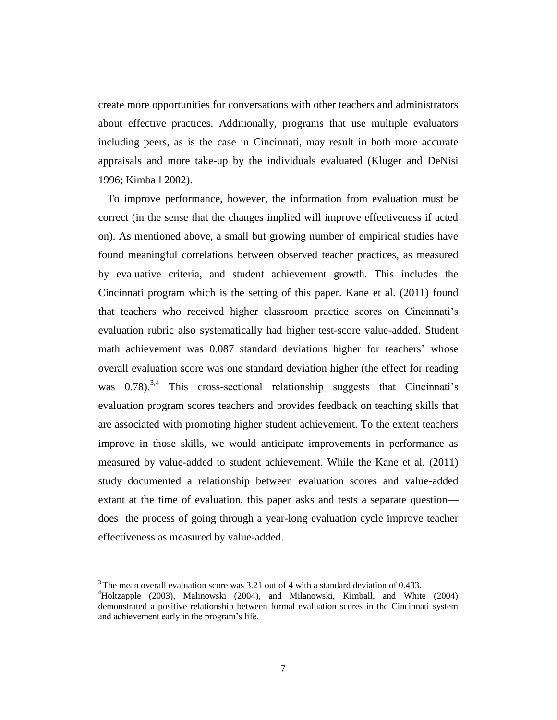create more opportunities for conversations with other teachers and administrators about effective practices. Additionally, programs that use multiple evaluators including peers, as is the case in Cincinnati, may result in both more accurate appraisals and more take-up by the individuals evaluated (Kluger and DeNisi 1996; Kimball 2002).

To improve performance, however, the information from evaluation must be correct (in the sense that the changes implied will improve effectiveness if acted on). As mentioned above, a small but growing number of empirical studies have found meaningful correlations between observed teacher practices, as measured by evaluative criteria, and student achievement growth. This includes the Cincinnati program which is the setting of this paper. Kane et al. (2011) found that teachers who received higher classroom practice scores on Cincinnati's evaluation rubric also systematically had higher test-score value-added. Student math achievement was 0.087 standard deviations higher for teachers' whose overall evaluation score was one standard deviation higher (the effect for reading was  $0.78$ ).<sup>3,4</sup> This cross-sectional relationship suggests that Cincinnati's evaluation program scores teachers and provides feedback on teaching skills that are associated with promoting higher student achievement. To the extent teachers improve in those skills, we would anticipate improvements in performance as measured by value-added to student achievement. While the Kane et al. (2011) study documented a relationship between evaluation scores and value-added extant at the time of evaluation, this paper asks and tests a separate question does the process of going through a year-long evaluation cycle improve teacher effectiveness as measured by value-added.

 $3$  The mean overall evaluation score was 3.21 out of 4 with a standard deviation of 0.433. <sup>4</sup>Holtzapple (2003), Malinowski (2004), and Milanowski, Kimball, and White (2004) demonstrated a positive relationship between formal evaluation scores in the Cincinnati system and achievement early in the program's life.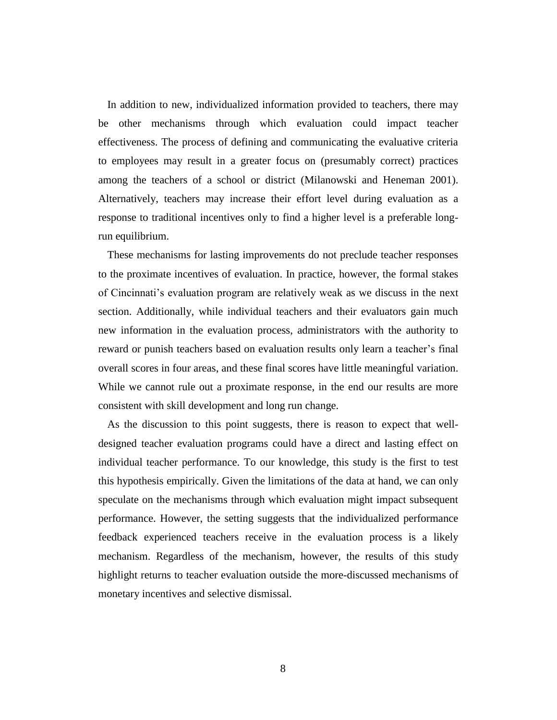In addition to new, individualized information provided to teachers, there may be other mechanisms through which evaluation could impact teacher effectiveness. The process of defining and communicating the evaluative criteria to employees may result in a greater focus on (presumably correct) practices among the teachers of a school or district (Milanowski and Heneman 2001). Alternatively, teachers may increase their effort level during evaluation as a response to traditional incentives only to find a higher level is a preferable longrun equilibrium.

These mechanisms for lasting improvements do not preclude teacher responses to the proximate incentives of evaluation. In practice, however, the formal stakes of Cincinnati's evaluation program are relatively weak as we discuss in the next section. Additionally, while individual teachers and their evaluators gain much new information in the evaluation process, administrators with the authority to reward or punish teachers based on evaluation results only learn a teacher's final overall scores in four areas, and these final scores have little meaningful variation. While we cannot rule out a proximate response, in the end our results are more consistent with skill development and long run change.

As the discussion to this point suggests, there is reason to expect that welldesigned teacher evaluation programs could have a direct and lasting effect on individual teacher performance. To our knowledge, this study is the first to test this hypothesis empirically. Given the limitations of the data at hand, we can only speculate on the mechanisms through which evaluation might impact subsequent performance. However, the setting suggests that the individualized performance feedback experienced teachers receive in the evaluation process is a likely mechanism. Regardless of the mechanism, however, the results of this study highlight returns to teacher evaluation outside the more-discussed mechanisms of monetary incentives and selective dismissal.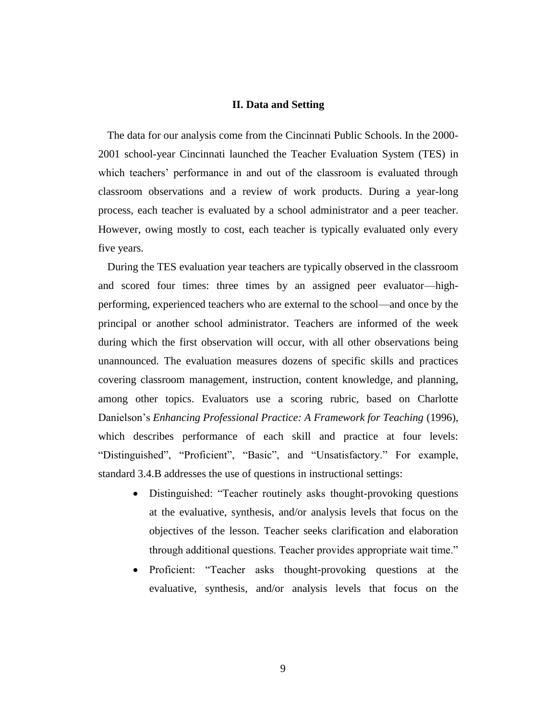#### **II. Data and Setting**

The data for our analysis come from the Cincinnati Public Schools. In the 2000- 2001 school-year Cincinnati launched the Teacher Evaluation System (TES) in which teachers' performance in and out of the classroom is evaluated through classroom observations and a review of work products. During a year-long process, each teacher is evaluated by a school administrator and a peer teacher. However, owing mostly to cost, each teacher is typically evaluated only every five years.

During the TES evaluation year teachers are typically observed in the classroom and scored four times: three times by an assigned peer evaluator—highperforming, experienced teachers who are external to the school—and once by the principal or another school administrator. Teachers are informed of the week during which the first observation will occur, with all other observations being unannounced. The evaluation measures dozens of specific skills and practices covering classroom management, instruction, content knowledge, and planning, among other topics. Evaluators use a scoring rubric, based on Charlotte Danielson's *Enhancing Professional Practice: A Framework for Teaching* (1996), which describes performance of each skill and practice at four levels: "Distinguished", "Proficient", "Basic", and "Unsatisfactory." For example, standard 3.4.B addresses the use of questions in instructional settings:

- Distinguished: "Teacher routinely asks thought-provoking questions at the evaluative, synthesis, and/or analysis levels that focus on the objectives of the lesson. Teacher seeks clarification and elaboration through additional questions. Teacher provides appropriate wait time."
- Proficient: "Teacher asks thought-provoking questions at the evaluative, synthesis, and/or analysis levels that focus on the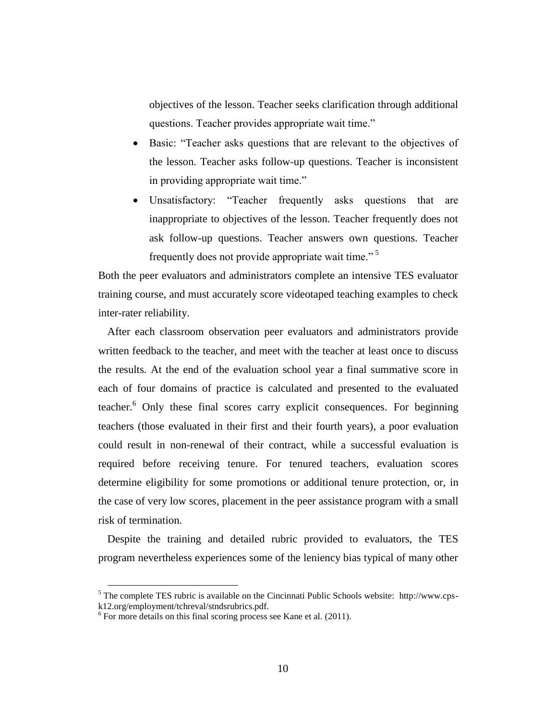objectives of the lesson. Teacher seeks clarification through additional questions. Teacher provides appropriate wait time."

- Basic: "Teacher asks questions that are relevant to the objectives of the lesson. Teacher asks follow-up questions. Teacher is inconsistent in providing appropriate wait time."
- Unsatisfactory: "Teacher frequently asks questions that are inappropriate to objectives of the lesson. Teacher frequently does not ask follow-up questions. Teacher answers own questions. Teacher frequently does not provide appropriate wait time." <sup>5</sup>

Both the peer evaluators and administrators complete an intensive TES evaluator training course, and must accurately score videotaped teaching examples to check inter-rater reliability.

After each classroom observation peer evaluators and administrators provide written feedback to the teacher, and meet with the teacher at least once to discuss the results. At the end of the evaluation school year a final summative score in each of four domains of practice is calculated and presented to the evaluated teacher.<sup>6</sup> Only these final scores carry explicit consequences. For beginning teachers (those evaluated in their first and their fourth years), a poor evaluation could result in non-renewal of their contract, while a successful evaluation is required before receiving tenure. For tenured teachers, evaluation scores determine eligibility for some promotions or additional tenure protection, or, in the case of very low scores, placement in the peer assistance program with a small risk of termination.

Despite the training and detailed rubric provided to evaluators, the TES program nevertheless experiences some of the leniency bias typical of many other

 $<sup>5</sup>$  The complete TES rubric is available on the Cincinnati Public Schools website: http://www.cps-</sup> k12.org/employment/tchreval/stndsrubrics.pdf.

 $6$  For more details on this final scoring process see Kane et al. (2011).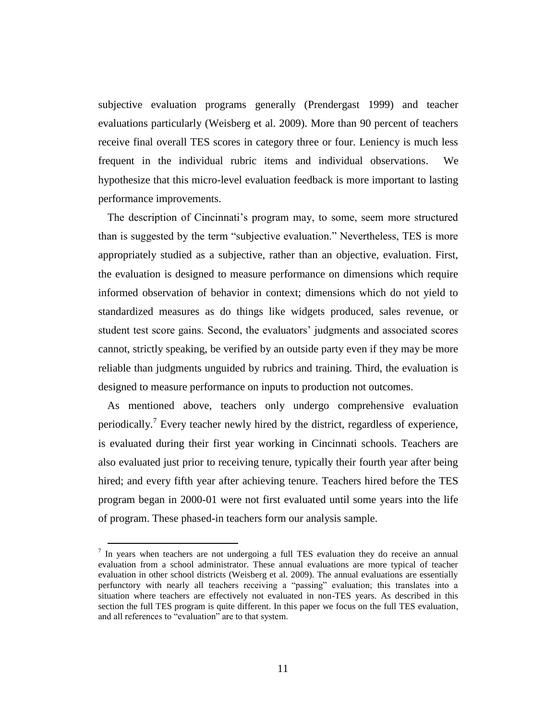subjective evaluation programs generally (Prendergast 1999) and teacher evaluations particularly (Weisberg et al. 2009). More than 90 percent of teachers receive final overall TES scores in category three or four. Leniency is much less frequent in the individual rubric items and individual observations. We hypothesize that this micro-level evaluation feedback is more important to lasting performance improvements.

The description of Cincinnati's program may, to some, seem more structured than is suggested by the term "subjective evaluation." Nevertheless, TES is more appropriately studied as a subjective, rather than an objective, evaluation. First, the evaluation is designed to measure performance on dimensions which require informed observation of behavior in context; dimensions which do not yield to standardized measures as do things like widgets produced, sales revenue, or student test score gains. Second, the evaluators' judgments and associated scores cannot, strictly speaking, be verified by an outside party even if they may be more reliable than judgments unguided by rubrics and training. Third, the evaluation is designed to measure performance on inputs to production not outcomes.

As mentioned above, teachers only undergo comprehensive evaluation periodically.<sup>7</sup> Every teacher newly hired by the district, regardless of experience, is evaluated during their first year working in Cincinnati schools. Teachers are also evaluated just prior to receiving tenure, typically their fourth year after being hired; and every fifth year after achieving tenure. Teachers hired before the TES program began in 2000-01 were not first evaluated until some years into the life of program. These phased-in teachers form our analysis sample.

 $<sup>7</sup>$  In years when teachers are not undergoing a full TES evaluation they do receive an annual</sup> evaluation from a school administrator. These annual evaluations are more typical of teacher evaluation in other school districts (Weisberg et al. 2009). The annual evaluations are essentially perfunctory with nearly all teachers receiving a "passing" evaluation; this translates into a situation where teachers are effectively not evaluated in non-TES years. As described in this section the full TES program is quite different. In this paper we focus on the full TES evaluation, and all references to "evaluation" are to that system.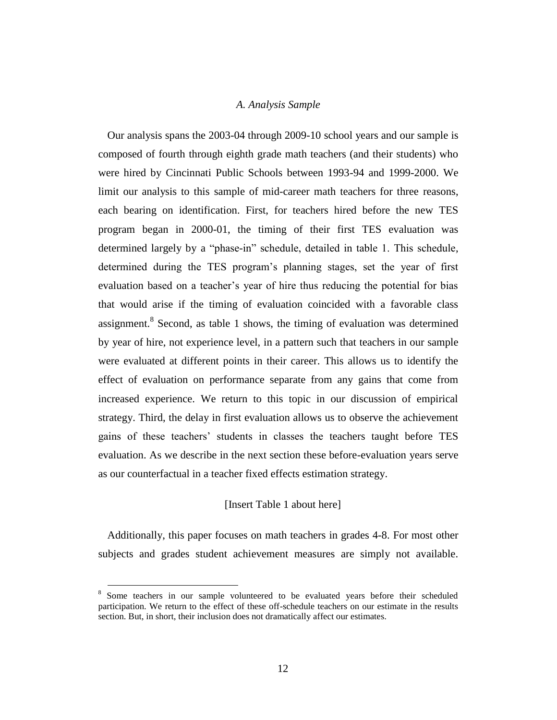## *A. Analysis Sample*

Our analysis spans the 2003-04 through 2009-10 school years and our sample is composed of fourth through eighth grade math teachers (and their students) who were hired by Cincinnati Public Schools between 1993-94 and 1999-2000. We limit our analysis to this sample of mid-career math teachers for three reasons, each bearing on identification. First, for teachers hired before the new TES program began in 2000-01, the timing of their first TES evaluation was determined largely by a "phase-in" schedule, detailed in table 1. This schedule, determined during the TES program's planning stages, set the year of first evaluation based on a teacher's year of hire thus reducing the potential for bias that would arise if the timing of evaluation coincided with a favorable class assignment. $8$  Second, as table 1 shows, the timing of evaluation was determined by year of hire, not experience level, in a pattern such that teachers in our sample were evaluated at different points in their career. This allows us to identify the effect of evaluation on performance separate from any gains that come from increased experience. We return to this topic in our discussion of empirical strategy. Third, the delay in first evaluation allows us to observe the achievement gains of these teachers' students in classes the teachers taught before TES evaluation. As we describe in the next section these before-evaluation years serve as our counterfactual in a teacher fixed effects estimation strategy.

## [Insert Table 1 about here]

Additionally, this paper focuses on math teachers in grades 4-8. For most other subjects and grades student achievement measures are simply not available.

<sup>&</sup>lt;sup>8</sup> Some teachers in our sample volunteered to be evaluated years before their scheduled participation. We return to the effect of these off-schedule teachers on our estimate in the results section. But, in short, their inclusion does not dramatically affect our estimates.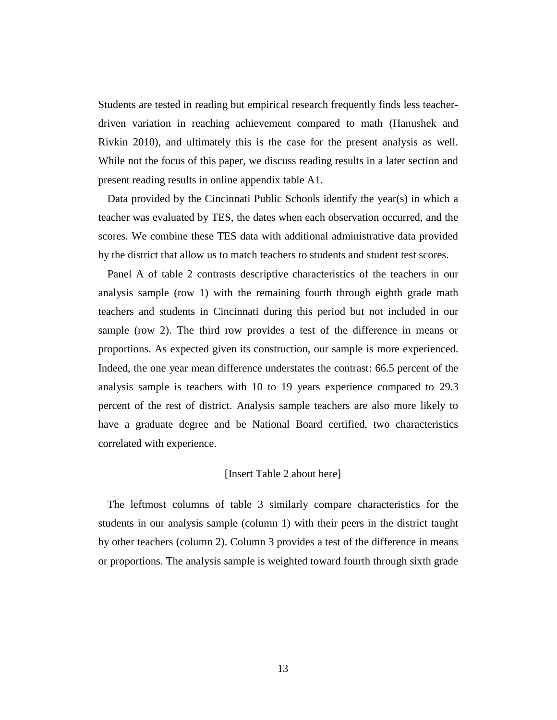Students are tested in reading but empirical research frequently finds less teacherdriven variation in reaching achievement compared to math (Hanushek and Rivkin 2010), and ultimately this is the case for the present analysis as well. While not the focus of this paper, we discuss reading results in a later section and present reading results in online appendix table A1.

Data provided by the Cincinnati Public Schools identify the year(s) in which a teacher was evaluated by TES, the dates when each observation occurred, and the scores. We combine these TES data with additional administrative data provided by the district that allow us to match teachers to students and student test scores.

Panel A of table 2 contrasts descriptive characteristics of the teachers in our analysis sample (row 1) with the remaining fourth through eighth grade math teachers and students in Cincinnati during this period but not included in our sample (row 2). The third row provides a test of the difference in means or proportions. As expected given its construction, our sample is more experienced. Indeed, the one year mean difference understates the contrast: 66.5 percent of the analysis sample is teachers with 10 to 19 years experience compared to 29.3 percent of the rest of district. Analysis sample teachers are also more likely to have a graduate degree and be National Board certified, two characteristics correlated with experience.

#### [Insert Table 2 about here]

The leftmost columns of table 3 similarly compare characteristics for the students in our analysis sample (column 1) with their peers in the district taught by other teachers (column 2). Column 3 provides a test of the difference in means or proportions. The analysis sample is weighted toward fourth through sixth grade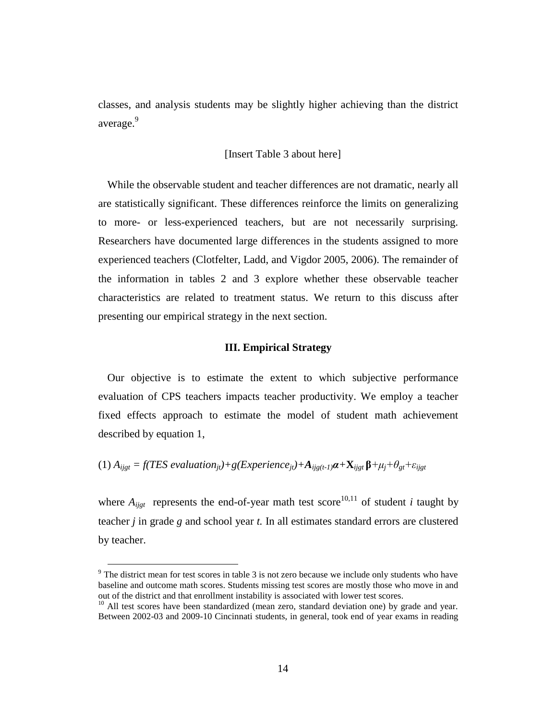classes, and analysis students may be slightly higher achieving than the district average.<sup>9</sup>

### [Insert Table 3 about here]

While the observable student and teacher differences are not dramatic, nearly all are statistically significant. These differences reinforce the limits on generalizing to more- or less-experienced teachers, but are not necessarily surprising. Researchers have documented large differences in the students assigned to more experienced teachers (Clotfelter, Ladd, and Vigdor 2005, 2006). The remainder of the information in tables 2 and 3 explore whether these observable teacher characteristics are related to treatment status. We return to this discuss after presenting our empirical strategy in the next section.

## **III. Empirical Strategy**

Our objective is to estimate the extent to which subjective performance evaluation of CPS teachers impacts teacher productivity. We employ a teacher fixed effects approach to estimate the model of student math achievement described by equation 1,

 $(1)$   $A_{ijgt} = f(TES \; evaluation_{jt}) + g(Experiment_{gt}) + A_{ijg(t-1)}\mathbf{a} + \mathbf{X}_{ijgt} \mathbf{\beta} + \mu_j + \theta_{gt} + \varepsilon_{ijgt}$ 

 $\overline{a}$ 

where  $A_{ijgt}$  represents the end-of-year math test score<sup>10,11</sup> of student *i* taught by teacher *j* in grade *g* and school year *t.* In all estimates standard errors are clustered by teacher.

 $9<sup>9</sup>$  The district mean for test scores in table 3 is not zero because we include only students who have baseline and outcome math scores. Students missing test scores are mostly those who move in and out of the district and that enrollment instability is associated with lower test scores.

 $10$  All test scores have been standardized (mean zero, standard deviation one) by grade and year. Between 2002-03 and 2009-10 Cincinnati students, in general, took end of year exams in reading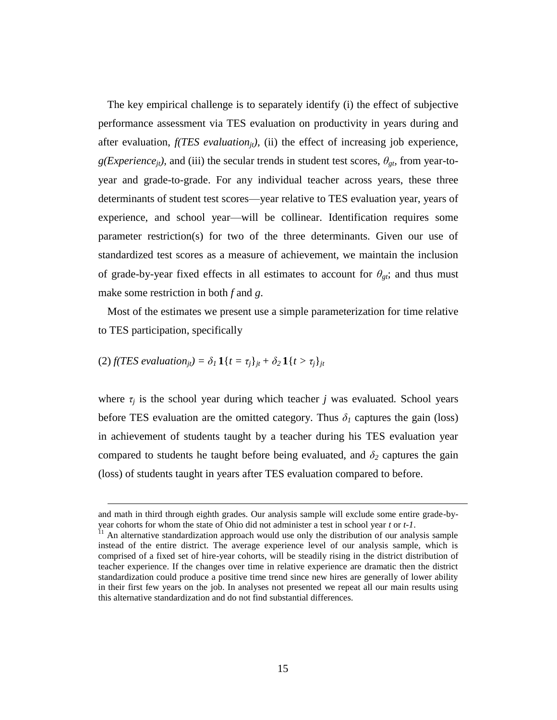The key empirical challenge is to separately identify (i) the effect of subjective performance assessment via TES evaluation on productivity in years during and after evaluation,  $f(TES evaluation_{it})$ , (ii) the effect of increasing job experience,  $g(Experiment_{it})$ , and (iii) the secular trends in student test scores,  $\theta_{gt}$ , from year-toyear and grade-to-grade. For any individual teacher across years, these three determinants of student test scores—year relative to TES evaluation year, years of experience, and school year—will be collinear. Identification requires some parameter restriction(s) for two of the three determinants. Given our use of standardized test scores as a measure of achievement, we maintain the inclusion of grade-by-year fixed effects in all estimates to account for  $\theta_{gt}$ ; and thus must make some restriction in both *f* and *g*.

Most of the estimates we present use a simple parameterization for time relative to TES participation, specifically

(2) 
$$
f(TES\; evaluation_{jt}) = \delta_I \mathbf{1}\{t = \tau_j\}_{jt} + \delta_2 \mathbf{1}\{t > \tau_j\}_{jt}
$$

<u>.</u>

where  $\tau_i$  is the school year during which teacher *j* was evaluated. School years before TES evaluation are the omitted category. Thus  $\delta_I$  captures the gain (loss) in achievement of students taught by a teacher during his TES evaluation year compared to students he taught before being evaluated, and  $\delta_2$  captures the gain (loss) of students taught in years after TES evaluation compared to before.

and math in third through eighth grades. Our analysis sample will exclude some entire grade-byyear cohorts for whom the state of Ohio did not administer a test in school year *t* or *t-1*.

<sup>11</sup> An alternative standardization approach would use only the distribution of our analysis sample instead of the entire district. The average experience level of our analysis sample, which is comprised of a fixed set of hire-year cohorts, will be steadily rising in the district distribution of teacher experience. If the changes over time in relative experience are dramatic then the district standardization could produce a positive time trend since new hires are generally of lower ability in their first few years on the job. In analyses not presented we repeat all our main results using this alternative standardization and do not find substantial differences.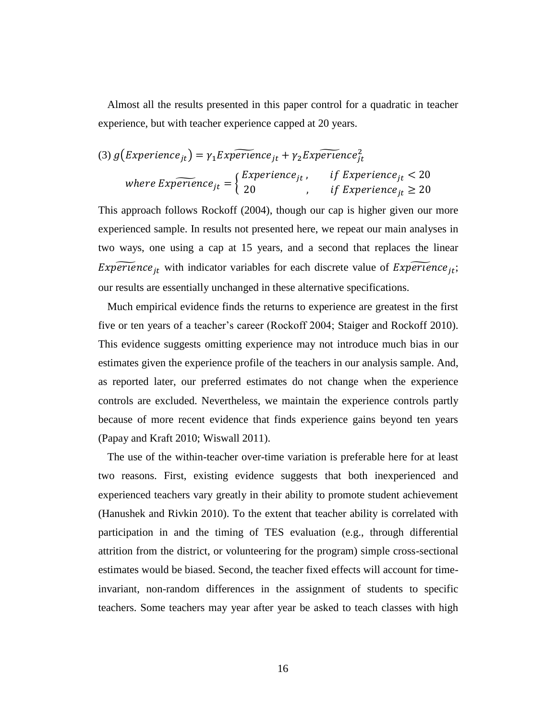Almost all the results presented in this paper control for a quadratic in teacher experience, but with teacher experience capped at 20 years.

(3) 
$$
g\left(\text{Experience}_{jt}\right) = \gamma_1 \text{Experience}_{jt} + \gamma_2 \text{Experience}_{jt}^2
$$
  
\nwhere Experience<sub>jt</sub> =  $\begin{cases} \text{Experience}_{jt}, & \text{if Experience}_{jt} < 20\\ 20, & \text{if Experience}_{it} \ge 20 \end{cases}$ 

This approach follows Rockoff (2004), though our cap is higher given our more experienced sample. In results not presented here, we repeat our main analyses in two ways, one using a cap at 15 years, and a second that replaces the linear *Experience*<sub>jt</sub> with indicator variables for each discrete value of  $Exp\widetilde{e}$  reprience<sub>jt</sub>; our results are essentially unchanged in these alternative specifications.

Much empirical evidence finds the returns to experience are greatest in the first five or ten years of a teacher's career (Rockoff 2004; Staiger and Rockoff 2010). This evidence suggests omitting experience may not introduce much bias in our estimates given the experience profile of the teachers in our analysis sample. And, as reported later, our preferred estimates do not change when the experience controls are excluded. Nevertheless, we maintain the experience controls partly because of more recent evidence that finds experience gains beyond ten years (Papay and Kraft 2010; Wiswall 2011).

The use of the within-teacher over-time variation is preferable here for at least two reasons. First, existing evidence suggests that both inexperienced and experienced teachers vary greatly in their ability to promote student achievement (Hanushek and Rivkin 2010). To the extent that teacher ability is correlated with participation in and the timing of TES evaluation (e.g., through differential attrition from the district, or volunteering for the program) simple cross-sectional estimates would be biased. Second, the teacher fixed effects will account for timeinvariant, non-random differences in the assignment of students to specific teachers. Some teachers may year after year be asked to teach classes with high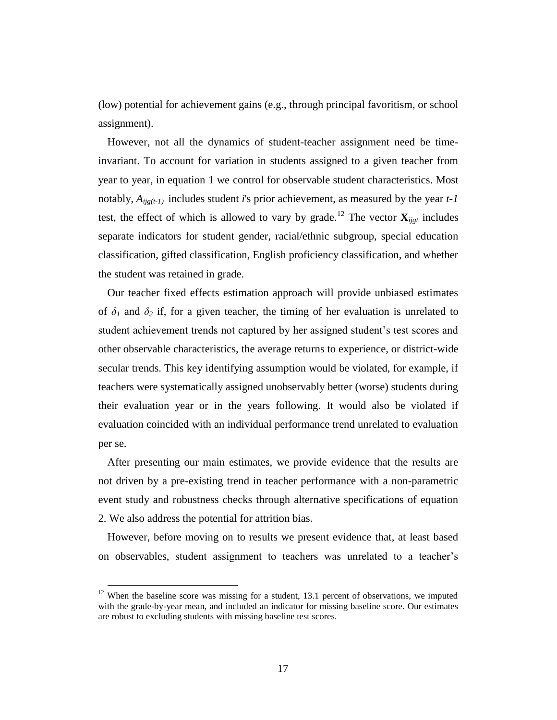(low) potential for achievement gains (e.g., through principal favoritism, or school assignment).

However, not all the dynamics of student-teacher assignment need be timeinvariant. To account for variation in students assigned to a given teacher from year to year, in equation 1 we control for observable student characteristics. Most notably, *Aijg(t-1)* includes student *i*'s prior achievement, as measured by the year *t-1* test, the effect of which is allowed to vary by grade.<sup>12</sup> The vector  $\mathbf{X}_{i,jgt}$  includes separate indicators for student gender, racial/ethnic subgroup, special education classification, gifted classification, English proficiency classification, and whether the student was retained in grade.

Our teacher fixed effects estimation approach will provide unbiased estimates of  $\delta$ <sup>*I*</sup> and  $\delta$ <sup>2</sup> if, for a given teacher, the timing of her evaluation is unrelated to student achievement trends not captured by her assigned student's test scores and other observable characteristics, the average returns to experience, or district-wide secular trends. This key identifying assumption would be violated, for example, if teachers were systematically assigned unobservably better (worse) students during their evaluation year or in the years following. It would also be violated if evaluation coincided with an individual performance trend unrelated to evaluation per se.

After presenting our main estimates, we provide evidence that the results are not driven by a pre-existing trend in teacher performance with a non-parametric event study and robustness checks through alternative specifications of equation 2. We also address the potential for attrition bias.

However, before moving on to results we present evidence that, at least based on observables, student assignment to teachers was unrelated to a teacher's

 $12$  When the baseline score was missing for a student, 13.1 percent of observations, we imputed with the grade-by-year mean, and included an indicator for missing baseline score. Our estimates are robust to excluding students with missing baseline test scores.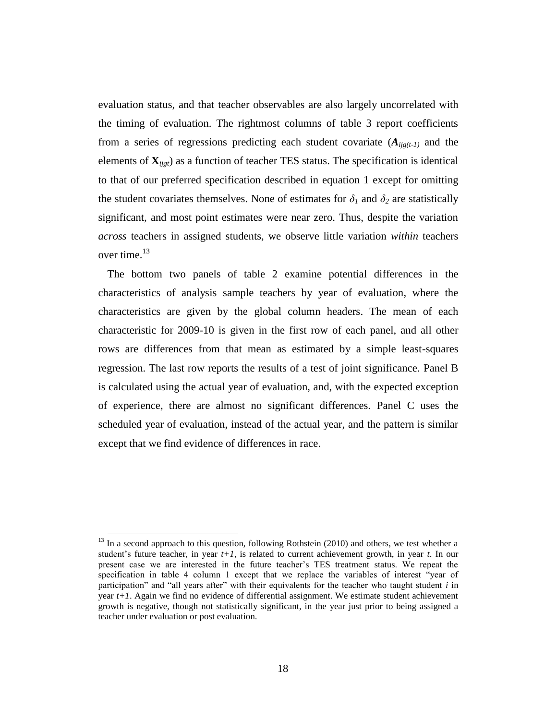evaluation status, and that teacher observables are also largely uncorrelated with the timing of evaluation. The rightmost columns of table 3 report coefficients from a series of regressions predicting each student covariate  $(A_{ijg(t-1)})$  and the elements of **X***ijgt*) as a function of teacher TES status. The specification is identical to that of our preferred specification described in equation 1 except for omitting the student covariates themselves. None of estimates for  $\delta_I$  and  $\delta_2$  are statistically significant, and most point estimates were near zero. Thus, despite the variation *across* teachers in assigned students, we observe little variation *within* teachers over time. $13$ 

The bottom two panels of table 2 examine potential differences in the characteristics of analysis sample teachers by year of evaluation, where the characteristics are given by the global column headers. The mean of each characteristic for 2009-10 is given in the first row of each panel, and all other rows are differences from that mean as estimated by a simple least-squares regression. The last row reports the results of a test of joint significance. Panel B is calculated using the actual year of evaluation, and, with the expected exception of experience, there are almost no significant differences. Panel C uses the scheduled year of evaluation, instead of the actual year, and the pattern is similar except that we find evidence of differences in race.

 $13$  In a second approach to this question, following Rothstein (2010) and others, we test whether a student's future teacher, in year *t+1*, is related to current achievement growth, in year *t*. In our present case we are interested in the future teacher's TES treatment status. We repeat the specification in table 4 column 1 except that we replace the variables of interest "year of participation" and "all years after" with their equivalents for the teacher who taught student *i* in year *t+1*. Again we find no evidence of differential assignment. We estimate student achievement growth is negative, though not statistically significant, in the year just prior to being assigned a teacher under evaluation or post evaluation.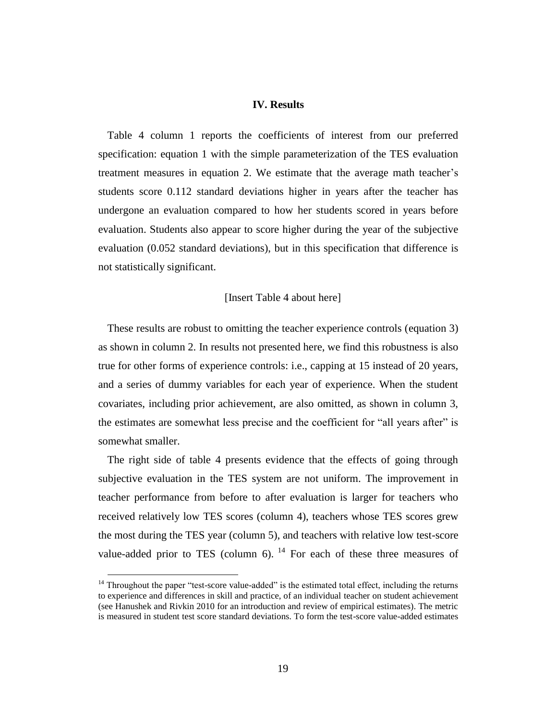## **IV. Results**

Table 4 column 1 reports the coefficients of interest from our preferred specification: equation 1 with the simple parameterization of the TES evaluation treatment measures in equation 2. We estimate that the average math teacher's students score 0.112 standard deviations higher in years after the teacher has undergone an evaluation compared to how her students scored in years before evaluation. Students also appear to score higher during the year of the subjective evaluation (0.052 standard deviations), but in this specification that difference is not statistically significant.

#### [Insert Table 4 about here]

These results are robust to omitting the teacher experience controls (equation 3) as shown in column 2. In results not presented here, we find this robustness is also true for other forms of experience controls: i.e., capping at 15 instead of 20 years, and a series of dummy variables for each year of experience. When the student covariates, including prior achievement, are also omitted, as shown in column 3, the estimates are somewhat less precise and the coefficient for "all years after" is somewhat smaller.

The right side of table 4 presents evidence that the effects of going through subjective evaluation in the TES system are not uniform. The improvement in teacher performance from before to after evaluation is larger for teachers who received relatively low TES scores (column 4), teachers whose TES scores grew the most during the TES year (column 5), and teachers with relative low test-score value-added prior to TES (column 6). <sup>14</sup> For each of these three measures of

 $14$  Throughout the paper "test-score value-added" is the estimated total effect, including the returns to experience and differences in skill and practice, of an individual teacher on student achievement (see Hanushek and Rivkin 2010 for an introduction and review of empirical estimates). The metric is measured in student test score standard deviations. To form the test-score value-added estimates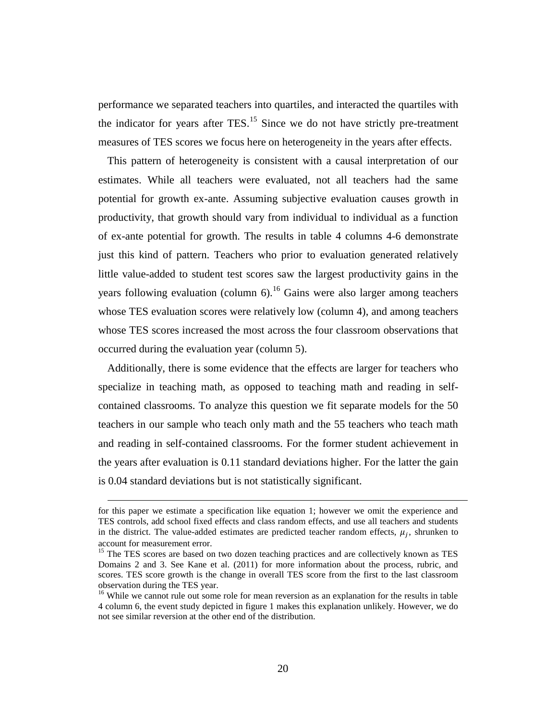performance we separated teachers into quartiles, and interacted the quartiles with the indicator for years after  $TES<sup>15</sup>$ . Since we do not have strictly pre-treatment measures of TES scores we focus here on heterogeneity in the years after effects.

This pattern of heterogeneity is consistent with a causal interpretation of our estimates. While all teachers were evaluated, not all teachers had the same potential for growth ex-ante. Assuming subjective evaluation causes growth in productivity, that growth should vary from individual to individual as a function of ex-ante potential for growth. The results in table 4 columns 4-6 demonstrate just this kind of pattern. Teachers who prior to evaluation generated relatively little value-added to student test scores saw the largest productivity gains in the years following evaluation (column  $6$ ).<sup>16</sup> Gains were also larger among teachers whose TES evaluation scores were relatively low (column 4), and among teachers whose TES scores increased the most across the four classroom observations that occurred during the evaluation year (column 5).

Additionally, there is some evidence that the effects are larger for teachers who specialize in teaching math, as opposed to teaching math and reading in selfcontained classrooms. To analyze this question we fit separate models for the 50 teachers in our sample who teach only math and the 55 teachers who teach math and reading in self-contained classrooms. For the former student achievement in the years after evaluation is 0.11 standard deviations higher. For the latter the gain is 0.04 standard deviations but is not statistically significant.

1

for this paper we estimate a specification like equation 1; however we omit the experience and TES controls, add school fixed effects and class random effects, and use all teachers and students in the district. The value-added estimates are predicted teacher random effects,  $\mu_i$ , shrunken to account for measurement error.

<sup>&</sup>lt;sup>15</sup> The TES scores are based on two dozen teaching practices and are collectively known as TES Domains 2 and 3. See Kane et al. (2011) for more information about the process, rubric, and scores. TES score growth is the change in overall TES score from the first to the last classroom observation during the TES year.

<sup>&</sup>lt;sup>16</sup> While we cannot rule out some role for mean reversion as an explanation for the results in table 4 column 6, the event study depicted in figure 1 makes this explanation unlikely. However, we do not see similar reversion at the other end of the distribution.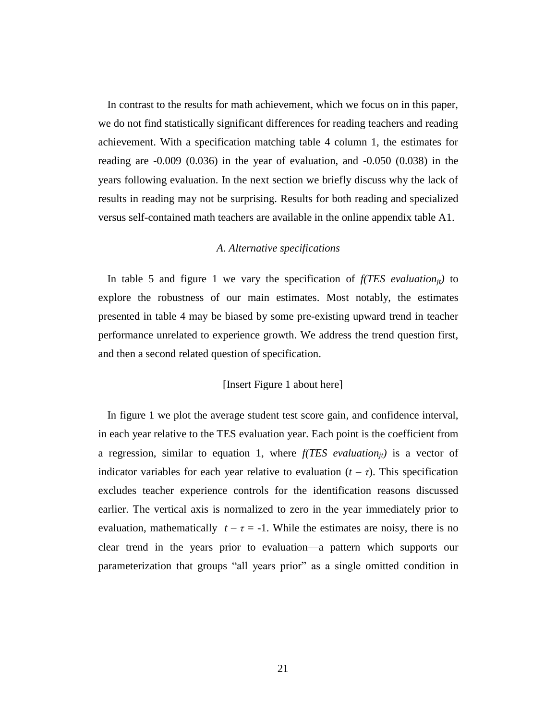In contrast to the results for math achievement, which we focus on in this paper, we do not find statistically significant differences for reading teachers and reading achievement. With a specification matching table 4 column 1, the estimates for reading are -0.009 (0.036) in the year of evaluation, and -0.050 (0.038) in the years following evaluation. In the next section we briefly discuss why the lack of results in reading may not be surprising. Results for both reading and specialized versus self-contained math teachers are available in the online appendix table A1.

## *A. Alternative specifications*

In table 5 and figure 1 we vary the specification of  $f(TES \; evaluation<sub>it</sub>)$  to explore the robustness of our main estimates. Most notably, the estimates presented in table 4 may be biased by some pre-existing upward trend in teacher performance unrelated to experience growth. We address the trend question first, and then a second related question of specification.

## [Insert Figure 1 about here]

In figure 1 we plot the average student test score gain, and confidence interval, in each year relative to the TES evaluation year. Each point is the coefficient from a regression, similar to equation 1, where  $f(TES evaluation_{it})$  is a vector of indicator variables for each year relative to evaluation  $(t - \tau)$ . This specification excludes teacher experience controls for the identification reasons discussed earlier. The vertical axis is normalized to zero in the year immediately prior to evaluation, mathematically  $t - \tau = -1$ . While the estimates are noisy, there is no clear trend in the years prior to evaluation—a pattern which supports our parameterization that groups "all years prior" as a single omitted condition in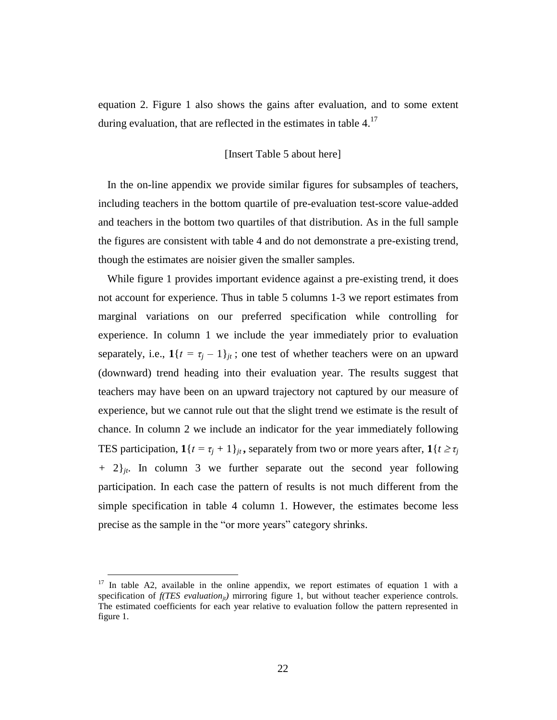equation 2. Figure 1 also shows the gains after evaluation, and to some extent during evaluation, that are reflected in the estimates in table  $4$ .<sup>17</sup>

### [Insert Table 5 about here]

In the on-line appendix we provide similar figures for subsamples of teachers, including teachers in the bottom quartile of pre-evaluation test-score value-added and teachers in the bottom two quartiles of that distribution. As in the full sample the figures are consistent with table 4 and do not demonstrate a pre-existing trend, though the estimates are noisier given the smaller samples.

While figure 1 provides important evidence against a pre-existing trend, it does not account for experience. Thus in table 5 columns 1-3 we report estimates from marginal variations on our preferred specification while controlling for experience. In column 1 we include the year immediately prior to evaluation separately, i.e.,  $1\{t = \tau_i - 1\}_{it}$ ; one test of whether teachers were on an upward (downward) trend heading into their evaluation year. The results suggest that teachers may have been on an upward trajectory not captured by our measure of experience, but we cannot rule out that the slight trend we estimate is the result of chance. In column 2 we include an indicator for the year immediately following TES participation,  $1\{t = \tau_j + 1\}_{jt}$ , separately from two or more years after,  $1\{t \geq \tau_j\}$ *+* 2}*jt*. In column 3 we further separate out the second year following participation. In each case the pattern of results is not much different from the simple specification in table 4 column 1. However, the estimates become less precise as the sample in the "or more years" category shrinks.

 $17$  In table A2, available in the online appendix, we report estimates of equation 1 with a specification of  $f(TES evaluation<sub>i</sub>)$  mirroring figure 1, but without teacher experience controls. The estimated coefficients for each year relative to evaluation follow the pattern represented in figure 1.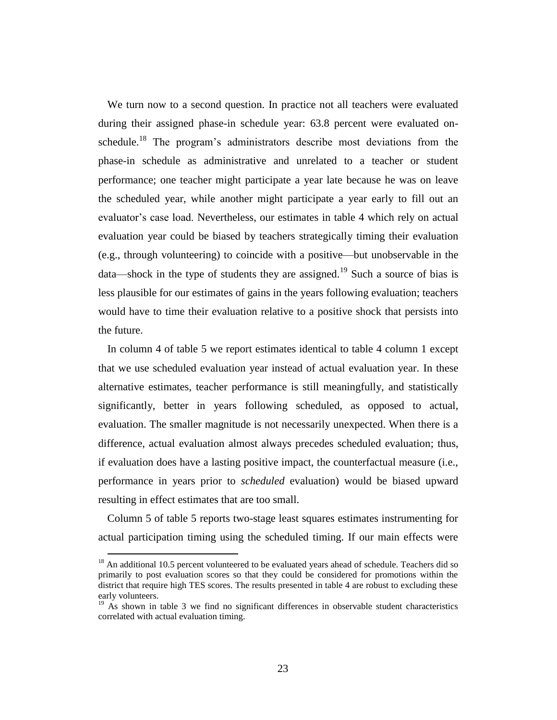We turn now to a second question. In practice not all teachers were evaluated during their assigned phase-in schedule year: 63.8 percent were evaluated onschedule.<sup>18</sup> The program's administrators describe most deviations from the phase-in schedule as administrative and unrelated to a teacher or student performance; one teacher might participate a year late because he was on leave the scheduled year, while another might participate a year early to fill out an evaluator's case load. Nevertheless, our estimates in table 4 which rely on actual evaluation year could be biased by teachers strategically timing their evaluation (e.g., through volunteering) to coincide with a positive—but unobservable in the data—shock in the type of students they are assigned.<sup>19</sup> Such a source of bias is less plausible for our estimates of gains in the years following evaluation; teachers would have to time their evaluation relative to a positive shock that persists into the future.

In column 4 of table 5 we report estimates identical to table 4 column 1 except that we use scheduled evaluation year instead of actual evaluation year. In these alternative estimates, teacher performance is still meaningfully, and statistically significantly, better in years following scheduled, as opposed to actual, evaluation. The smaller magnitude is not necessarily unexpected. When there is a difference, actual evaluation almost always precedes scheduled evaluation; thus, if evaluation does have a lasting positive impact, the counterfactual measure (i.e., performance in years prior to *scheduled* evaluation) would be biased upward resulting in effect estimates that are too small.

Column 5 of table 5 reports two-stage least squares estimates instrumenting for actual participation timing using the scheduled timing. If our main effects were

<sup>&</sup>lt;sup>18</sup> An additional 10.5 percent volunteered to be evaluated years ahead of schedule. Teachers did so primarily to post evaluation scores so that they could be considered for promotions within the district that require high TES scores. The results presented in table 4 are robust to excluding these early volunteers.

 $19$  As shown in table 3 we find no significant differences in observable student characteristics correlated with actual evaluation timing.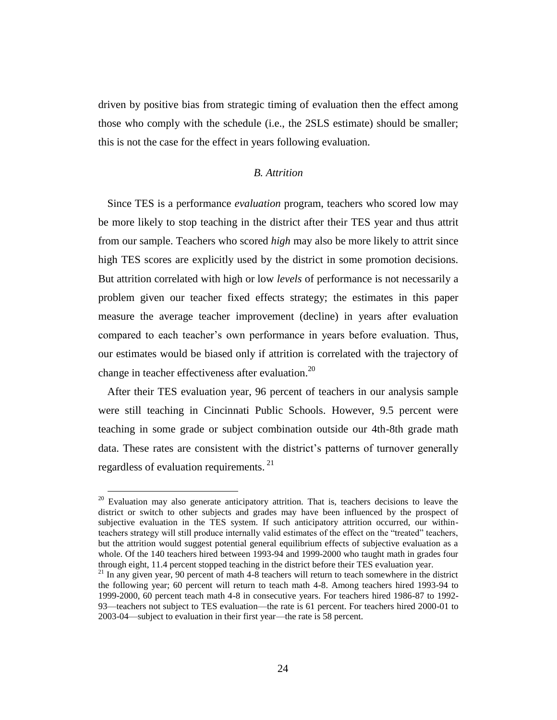driven by positive bias from strategic timing of evaluation then the effect among those who comply with the schedule (i.e., the 2SLS estimate) should be smaller; this is not the case for the effect in years following evaluation.

## *B. Attrition*

Since TES is a performance *evaluation* program, teachers who scored low may be more likely to stop teaching in the district after their TES year and thus attrit from our sample. Teachers who scored *high* may also be more likely to attrit since high TES scores are explicitly used by the district in some promotion decisions. But attrition correlated with high or low *levels* of performance is not necessarily a problem given our teacher fixed effects strategy; the estimates in this paper measure the average teacher improvement (decline) in years after evaluation compared to each teacher's own performance in years before evaluation. Thus, our estimates would be biased only if attrition is correlated with the trajectory of change in teacher effectiveness after evaluation.<sup>20</sup>

After their TES evaluation year, 96 percent of teachers in our analysis sample were still teaching in Cincinnati Public Schools. However, 9.5 percent were teaching in some grade or subject combination outside our 4th-8th grade math data. These rates are consistent with the district's patterns of turnover generally regardless of evaluation requirements.<sup>21</sup>

<sup>&</sup>lt;sup>20</sup> Evaluation may also generate anticipatory attrition. That is, teachers decisions to leave the district or switch to other subjects and grades may have been influenced by the prospect of subjective evaluation in the TES system. If such anticipatory attrition occurred, our withinteachers strategy will still produce internally valid estimates of the effect on the "treated" teachers, but the attrition would suggest potential general equilibrium effects of subjective evaluation as a whole. Of the 140 teachers hired between 1993-94 and 1999-2000 who taught math in grades four through eight, 11.4 percent stopped teaching in the district before their TES evaluation year.

<sup>&</sup>lt;sup>21</sup> In any given year, 90 percent of math 4-8 teachers will return to teach somewhere in the district the following year; 60 percent will return to teach math 4-8. Among teachers hired 1993-94 to 1999-2000, 60 percent teach math 4-8 in consecutive years. For teachers hired 1986-87 to 1992- 93—teachers not subject to TES evaluation—the rate is 61 percent. For teachers hired 2000-01 to 2003-04—subject to evaluation in their first year—the rate is 58 percent.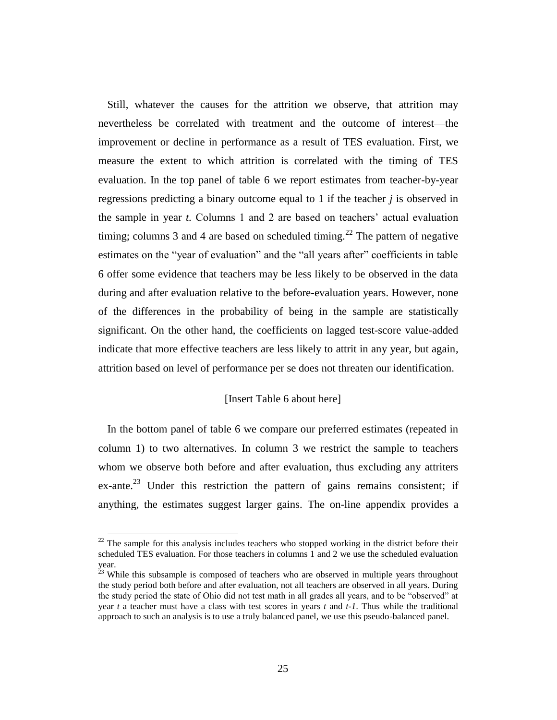Still, whatever the causes for the attrition we observe, that attrition may nevertheless be correlated with treatment and the outcome of interest—the improvement or decline in performance as a result of TES evaluation. First, we measure the extent to which attrition is correlated with the timing of TES evaluation. In the top panel of table 6 we report estimates from teacher-by-year regressions predicting a binary outcome equal to 1 if the teacher *j* is observed in the sample in year *t.* Columns 1 and 2 are based on teachers' actual evaluation timing; columns 3 and 4 are based on scheduled timing.<sup>22</sup> The pattern of negative estimates on the "year of evaluation" and the "all years after" coefficients in table 6 offer some evidence that teachers may be less likely to be observed in the data during and after evaluation relative to the before-evaluation years. However, none of the differences in the probability of being in the sample are statistically significant. On the other hand, the coefficients on lagged test-score value-added indicate that more effective teachers are less likely to attrit in any year, but again, attrition based on level of performance per se does not threaten our identification.

### [Insert Table 6 about here]

In the bottom panel of table 6 we compare our preferred estimates (repeated in column 1) to two alternatives. In column 3 we restrict the sample to teachers whom we observe both before and after evaluation, thus excluding any attriters  $ex$ -ante.<sup>23</sup> Under this restriction the pattern of gains remains consistent; if anything, the estimates suggest larger gains. The on-line appendix provides a

 $22$  The sample for this analysis includes teachers who stopped working in the district before their scheduled TES evaluation. For those teachers in columns 1 and 2 we use the scheduled evaluation year.

 $23$  While this subsample is composed of teachers who are observed in multiple years throughout the study period both before and after evaluation, not all teachers are observed in all years. During the study period the state of Ohio did not test math in all grades all years, and to be "observed" at year *t* a teacher must have a class with test scores in years *t* and *t-1*. Thus while the traditional approach to such an analysis is to use a truly balanced panel, we use this pseudo-balanced panel.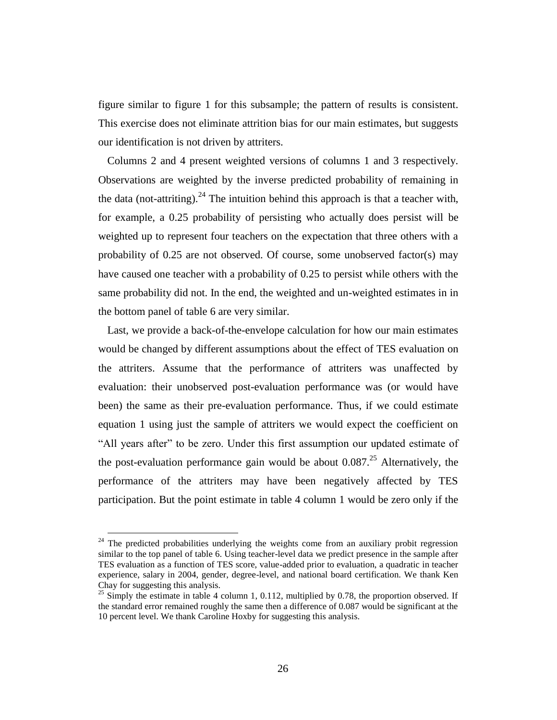figure similar to figure 1 for this subsample; the pattern of results is consistent. This exercise does not eliminate attrition bias for our main estimates, but suggests our identification is not driven by attriters.

Columns 2 and 4 present weighted versions of columns 1 and 3 respectively. Observations are weighted by the inverse predicted probability of remaining in the data (not-attriting).<sup>24</sup> The intuition behind this approach is that a teacher with, for example, a 0.25 probability of persisting who actually does persist will be weighted up to represent four teachers on the expectation that three others with a probability of 0.25 are not observed. Of course, some unobserved factor(s) may have caused one teacher with a probability of 0.25 to persist while others with the same probability did not. In the end, the weighted and un-weighted estimates in in the bottom panel of table 6 are very similar.

Last, we provide a back-of-the-envelope calculation for how our main estimates would be changed by different assumptions about the effect of TES evaluation on the attriters. Assume that the performance of attriters was unaffected by evaluation: their unobserved post-evaluation performance was (or would have been) the same as their pre-evaluation performance. Thus, if we could estimate equation 1 using just the sample of attriters we would expect the coefficient on "All years after" to be zero. Under this first assumption our updated estimate of the post-evaluation performance gain would be about  $0.087<sup>25</sup>$  Alternatively, the performance of the attriters may have been negatively affected by TES participation. But the point estimate in table 4 column 1 would be zero only if the

 $24$  The predicted probabilities underlying the weights come from an auxiliary probit regression similar to the top panel of table 6. Using teacher-level data we predict presence in the sample after TES evaluation as a function of TES score, value-added prior to evaluation, a quadratic in teacher experience, salary in 2004, gender, degree-level, and national board certification. We thank Ken Chay for suggesting this analysis.

<sup>&</sup>lt;sup>25</sup> Simply the estimate in table 4 column 1, 0.112, multiplied by 0.78, the proportion observed. If the standard error remained roughly the same then a difference of 0.087 would be significant at the 10 percent level. We thank Caroline Hoxby for suggesting this analysis.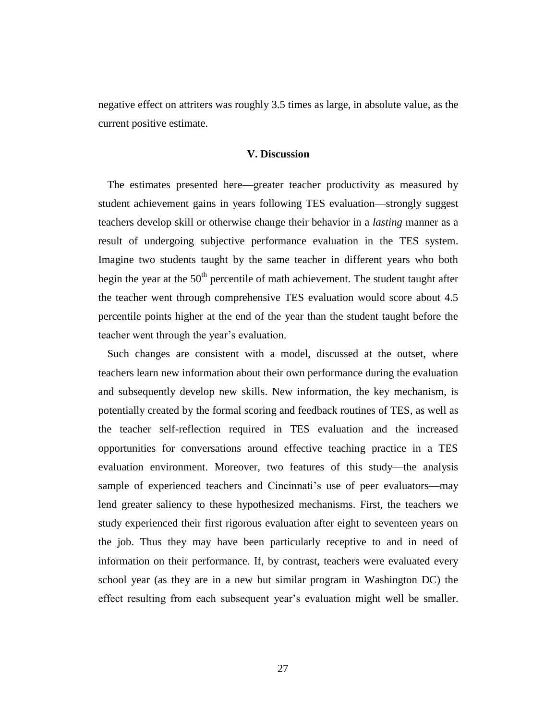negative effect on attriters was roughly 3.5 times as large, in absolute value, as the current positive estimate.

## **V. Discussion**

The estimates presented here—greater teacher productivity as measured by student achievement gains in years following TES evaluation—strongly suggest teachers develop skill or otherwise change their behavior in a *lasting* manner as a result of undergoing subjective performance evaluation in the TES system. Imagine two students taught by the same teacher in different years who both begin the year at the  $50<sup>th</sup>$  percentile of math achievement. The student taught after the teacher went through comprehensive TES evaluation would score about 4.5 percentile points higher at the end of the year than the student taught before the teacher went through the year's evaluation.

Such changes are consistent with a model, discussed at the outset, where teachers learn new information about their own performance during the evaluation and subsequently develop new skills. New information, the key mechanism, is potentially created by the formal scoring and feedback routines of TES, as well as the teacher self-reflection required in TES evaluation and the increased opportunities for conversations around effective teaching practice in a TES evaluation environment. Moreover, two features of this study—the analysis sample of experienced teachers and Cincinnati's use of peer evaluators—may lend greater saliency to these hypothesized mechanisms. First, the teachers we study experienced their first rigorous evaluation after eight to seventeen years on the job. Thus they may have been particularly receptive to and in need of information on their performance. If, by contrast, teachers were evaluated every school year (as they are in a new but similar program in Washington DC) the effect resulting from each subsequent year's evaluation might well be smaller.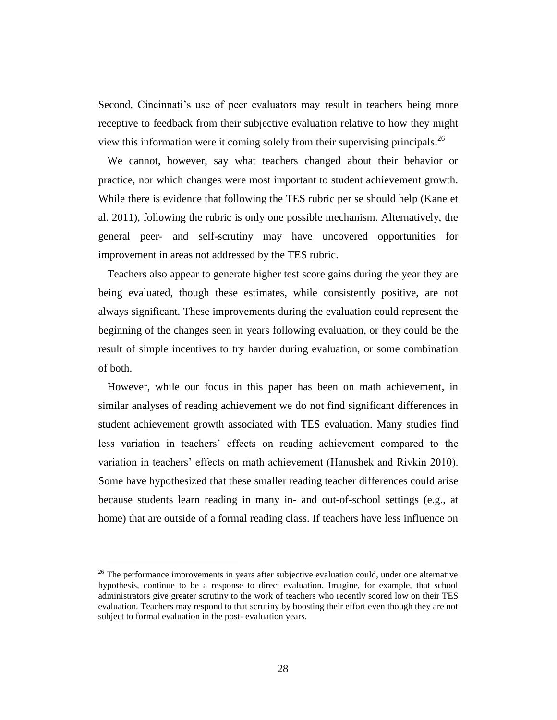Second, Cincinnati's use of peer evaluators may result in teachers being more receptive to feedback from their subjective evaluation relative to how they might view this information were it coming solely from their supervising principals.<sup>26</sup>

We cannot, however, say what teachers changed about their behavior or practice, nor which changes were most important to student achievement growth. While there is evidence that following the TES rubric per se should help (Kane et al. 2011), following the rubric is only one possible mechanism. Alternatively, the general peer- and self-scrutiny may have uncovered opportunities for improvement in areas not addressed by the TES rubric.

Teachers also appear to generate higher test score gains during the year they are being evaluated, though these estimates, while consistently positive, are not always significant. These improvements during the evaluation could represent the beginning of the changes seen in years following evaluation, or they could be the result of simple incentives to try harder during evaluation, or some combination of both.

However, while our focus in this paper has been on math achievement, in similar analyses of reading achievement we do not find significant differences in student achievement growth associated with TES evaluation. Many studies find less variation in teachers' effects on reading achievement compared to the variation in teachers' effects on math achievement (Hanushek and Rivkin 2010). Some have hypothesized that these smaller reading teacher differences could arise because students learn reading in many in- and out-of-school settings (e.g., at home) that are outside of a formal reading class. If teachers have less influence on

 $26$  The performance improvements in years after subjective evaluation could, under one alternative hypothesis, continue to be a response to direct evaluation. Imagine, for example, that school administrators give greater scrutiny to the work of teachers who recently scored low on their TES evaluation. Teachers may respond to that scrutiny by boosting their effort even though they are not subject to formal evaluation in the post- evaluation years.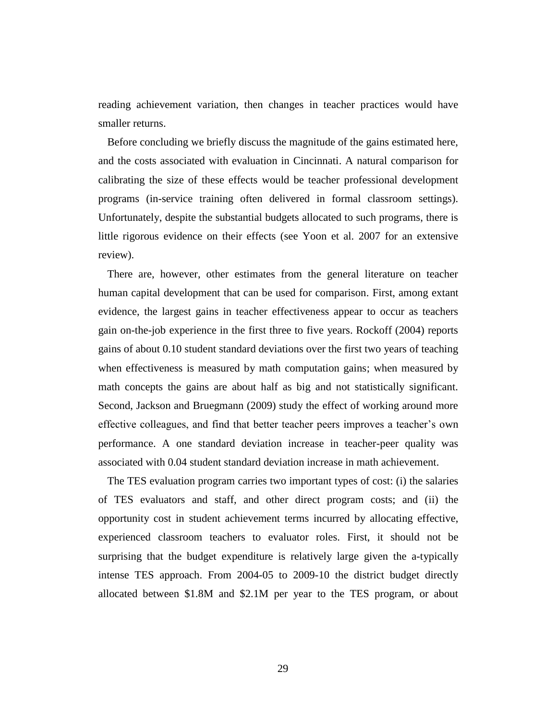reading achievement variation, then changes in teacher practices would have smaller returns.

Before concluding we briefly discuss the magnitude of the gains estimated here, and the costs associated with evaluation in Cincinnati. A natural comparison for calibrating the size of these effects would be teacher professional development programs (in-service training often delivered in formal classroom settings). Unfortunately, despite the substantial budgets allocated to such programs, there is little rigorous evidence on their effects (see Yoon et al. 2007 for an extensive review).

There are, however, other estimates from the general literature on teacher human capital development that can be used for comparison. First, among extant evidence, the largest gains in teacher effectiveness appear to occur as teachers gain on-the-job experience in the first three to five years. Rockoff (2004) reports gains of about 0.10 student standard deviations over the first two years of teaching when effectiveness is measured by math computation gains; when measured by math concepts the gains are about half as big and not statistically significant. Second, Jackson and Bruegmann (2009) study the effect of working around more effective colleagues, and find that better teacher peers improves a teacher's own performance. A one standard deviation increase in teacher-peer quality was associated with 0.04 student standard deviation increase in math achievement.

The TES evaluation program carries two important types of cost: (i) the salaries of TES evaluators and staff, and other direct program costs; and (ii) the opportunity cost in student achievement terms incurred by allocating effective, experienced classroom teachers to evaluator roles. First, it should not be surprising that the budget expenditure is relatively large given the a-typically intense TES approach. From 2004-05 to 2009-10 the district budget directly allocated between \$1.8M and \$2.1M per year to the TES program, or about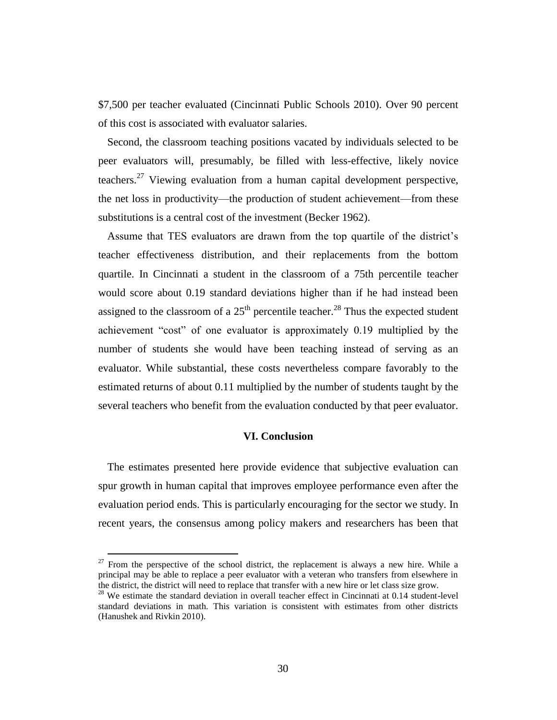\$7,500 per teacher evaluated (Cincinnati Public Schools 2010). Over 90 percent of this cost is associated with evaluator salaries.

Second, the classroom teaching positions vacated by individuals selected to be peer evaluators will, presumably, be filled with less-effective, likely novice teachers.<sup>27</sup> Viewing evaluation from a human capital development perspective, the net loss in productivity—the production of student achievement—from these substitutions is a central cost of the investment (Becker 1962).

Assume that TES evaluators are drawn from the top quartile of the district's teacher effectiveness distribution, and their replacements from the bottom quartile. In Cincinnati a student in the classroom of a 75th percentile teacher would score about 0.19 standard deviations higher than if he had instead been assigned to the classroom of a  $25<sup>th</sup>$  percentile teacher.<sup>28</sup> Thus the expected student achievement "cost" of one evaluator is approximately 0.19 multiplied by the number of students she would have been teaching instead of serving as an evaluator. While substantial, these costs nevertheless compare favorably to the estimated returns of about 0.11 multiplied by the number of students taught by the several teachers who benefit from the evaluation conducted by that peer evaluator.

## **VI. Conclusion**

The estimates presented here provide evidence that subjective evaluation can spur growth in human capital that improves employee performance even after the evaluation period ends. This is particularly encouraging for the sector we study. In recent years, the consensus among policy makers and researchers has been that

 $27$  From the perspective of the school district, the replacement is always a new hire. While a principal may be able to replace a peer evaluator with a veteran who transfers from elsewhere in the district, the district will need to replace that transfer with a new hire or let class size grow.

 $28$  We estimate the standard deviation in overall teacher effect in Cincinnati at 0.14 student-level standard deviations in math. This variation is consistent with estimates from other districts (Hanushek and Rivkin 2010).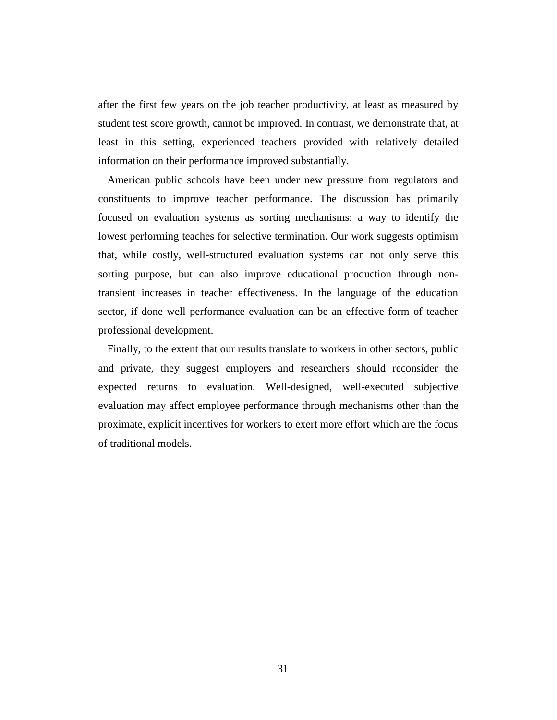after the first few years on the job teacher productivity, at least as measured by student test score growth, cannot be improved. In contrast, we demonstrate that, at least in this setting, experienced teachers provided with relatively detailed information on their performance improved substantially.

American public schools have been under new pressure from regulators and constituents to improve teacher performance. The discussion has primarily focused on evaluation systems as sorting mechanisms: a way to identify the lowest performing teaches for selective termination. Our work suggests optimism that, while costly, well-structured evaluation systems can not only serve this sorting purpose, but can also improve educational production through nontransient increases in teacher effectiveness. In the language of the education sector, if done well performance evaluation can be an effective form of teacher professional development.

Finally, to the extent that our results translate to workers in other sectors, public and private, they suggest employers and researchers should reconsider the expected returns to evaluation. Well-designed, well-executed subjective evaluation may affect employee performance through mechanisms other than the proximate, explicit incentives for workers to exert more effort which are the focus of traditional models.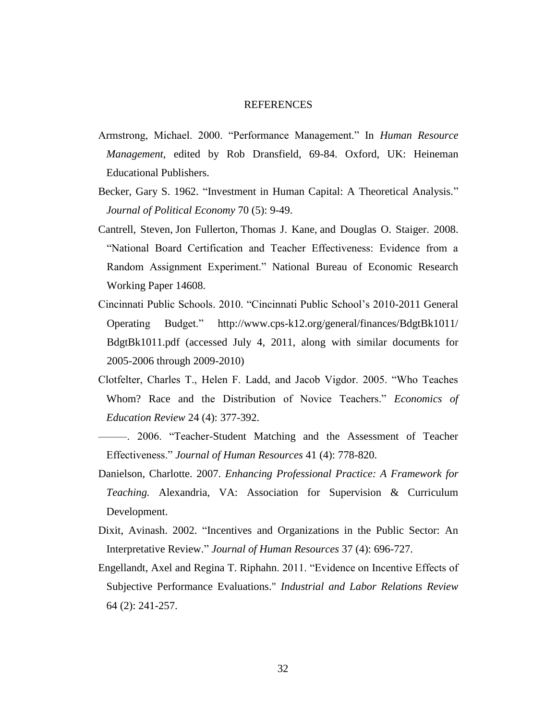### REFERENCES

- Armstrong, Michael. 2000. "Performance Management." In *Human Resource Management,* edited by Rob Dransfield, 69-84. Oxford, UK: Heineman Educational Publishers.
- Becker, Gary S. 1962. "Investment in Human Capital: A Theoretical Analysis." *Journal of Political Economy* 70 (5): 9-49.
- Cantrell, Steven, Jon Fullerton, Thomas J. Kane, and Douglas O. Staiger. 2008. "National Board Certification and Teacher Effectiveness: Evidence from a Random Assignment Experiment." National Bureau of Economic Research Working Paper 14608.
- Cincinnati Public Schools. 2010. "Cincinnati Public School's 2010-2011 General Operating Budget." http://www.cps-k12.org/general/finances/BdgtBk1011/ BdgtBk1011.pdf (accessed July 4, 2011, along with similar documents for 2005-2006 through 2009-2010)
- Clotfelter, Charles T., Helen F. Ladd, and Jacob Vigdor. 2005. "Who Teaches Whom? Race and the Distribution of Novice Teachers." *Economics of Education Review* 24 (4): 377-392.
- ———. 2006. "Teacher-Student Matching and the Assessment of Teacher Effectiveness." *Journal of Human Resources* 41 (4): 778-820.
- Danielson, Charlotte. 2007. *Enhancing Professional Practice: A Framework for Teaching.* Alexandria, VA: Association for Supervision & Curriculum Development.
- Dixit, Avinash. 2002. "Incentives and Organizations in the Public Sector: An Interpretative Review." *Journal of Human Resources* 37 (4): 696-727.
- Engellandt, Axel and Regina T. Riphahn. 2011. "Evidence on Incentive Effects of Subjective Performance Evaluations." *Industrial and Labor Relations Review* 64 (2): 241-257.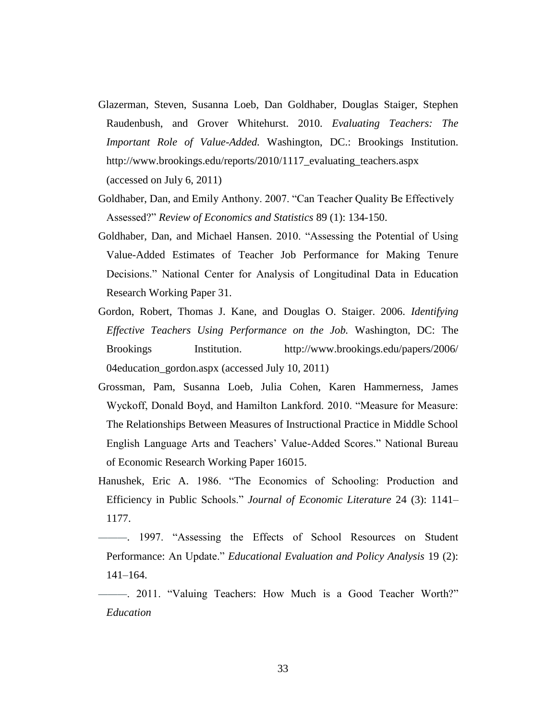- Glazerman, Steven, Susanna Loeb, Dan Goldhaber, Douglas Staiger, Stephen Raudenbush, and Grover Whitehurst. 2010. *Evaluating Teachers: The Important Role of Value-Added.* Washington, DC.: Brookings Institution. http://www.brookings.edu/reports/2010/1117\_evaluating\_teachers.aspx (accessed on July 6, 2011)
- Goldhaber, Dan, and Emily Anthony. 2007. "Can Teacher Quality Be Effectively Assessed?" *Review of Economics and Statistics* 89 (1): 134-150.
- Goldhaber, Dan, and Michael Hansen. 2010. "Assessing the Potential of Using Value-Added Estimates of Teacher Job Performance for Making Tenure Decisions." National Center for Analysis of Longitudinal Data in Education Research Working Paper 31.
- Gordon, Robert, Thomas J. Kane, and Douglas O. Staiger. 2006. *Identifying Effective Teachers Using Performance on the Job.* Washington, DC: The Brookings Institution. http://www.brookings.edu/papers/2006/ 04education\_gordon.aspx (accessed July 10, 2011)
- Grossman, Pam, Susanna Loeb, Julia Cohen, Karen Hammerness, James Wyckoff, Donald Boyd, and Hamilton Lankford. 2010. "Measure for Measure: The Relationships Between Measures of Instructional Practice in Middle School English Language Arts and Teachers' Value-Added Scores." National Bureau of Economic Research Working Paper 16015.
- Hanushek, Eric A. 1986. "The Economics of Schooling: Production and Efficiency in Public Schools." *Journal of Economic Literature* 24 (3): 1141– 1177.
- ———. 1997. "Assessing the Effects of School Resources on Student Performance: An Update." *Educational Evaluation and Policy Analysis* 19 (2): 141–164.
- ———. 2011. "Valuing Teachers: How Much is a Good Teacher Worth?" *Education*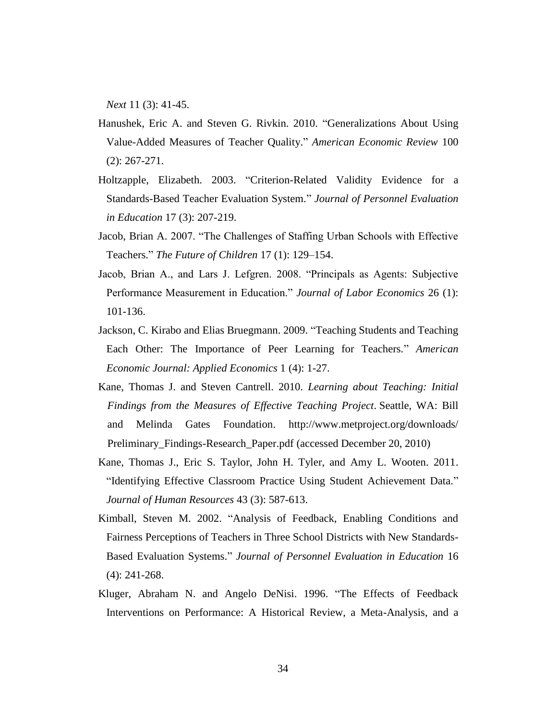*Next* 11 (3): 41-45.

- Hanushek, Eric A. and Steven G. Rivkin. 2010. "Generalizations About Using Value-Added Measures of Teacher Quality." *American Economic Review* 100 (2): 267-271.
- Holtzapple, Elizabeth. 2003. "Criterion-Related Validity Evidence for a Standards-Based Teacher Evaluation System." *Journal of Personnel Evaluation in Education* 17 (3): 207-219.
- Jacob, Brian A. 2007. "The Challenges of Staffing Urban Schools with Effective Teachers." *The Future of Children* 17 (1): 129–154.
- Jacob, Brian A., and Lars J. Lefgren. 2008. "Principals as Agents: Subjective Performance Measurement in Education." *Journal of Labor Economics* 26 (1): 101-136.
- Jackson, C. Kirabo and Elias Bruegmann. 2009. "Teaching Students and Teaching Each Other: The Importance of Peer Learning for Teachers." *American Economic Journal: Applied Economics* 1 (4): 1-27.
- Kane, Thomas J. and Steven Cantrell. 2010. *Learning about Teaching: Initial Findings from the Measures of Effective Teaching Project*. Seattle, WA: Bill and Melinda Gates Foundation. http://www.metproject.org/downloads/ Preliminary\_Findings-Research\_Paper.pdf (accessed December 20, 2010)
- Kane, Thomas J., Eric S. Taylor, John H. Tyler, and Amy L. Wooten. 2011. "Identifying Effective Classroom Practice Using Student Achievement Data." *Journal of Human Resources* 43 (3): 587-613.
- Kimball, Steven M. 2002. "Analysis of Feedback, Enabling Conditions and Fairness Perceptions of Teachers in Three School Districts with New Standards-Based Evaluation Systems." *Journal of Personnel Evaluation in Education* 16 (4): 241-268.
- Kluger, Abraham N. and Angelo DeNisi. 1996. "The Effects of Feedback Interventions on Performance: A Historical Review, a Meta-Analysis, and a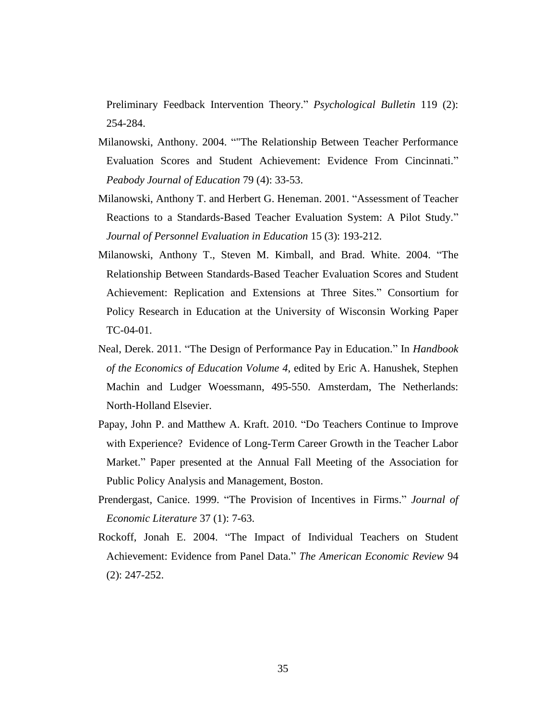Preliminary Feedback Intervention Theory." *Psychological Bulletin* 119 (2): 254-284.

- Milanowski, Anthony. 2004. ""The Relationship Between Teacher Performance Evaluation Scores and Student Achievement: Evidence From Cincinnati." *Peabody Journal of Education* 79 (4): 33-53.
- Milanowski, Anthony T. and Herbert G. Heneman. 2001. "Assessment of Teacher Reactions to a Standards-Based Teacher Evaluation System: A Pilot Study." *Journal of Personnel Evaluation in Education* 15 (3): 193-212.
- Milanowski, Anthony T., Steven M. Kimball, and Brad. White. 2004. "The Relationship Between Standards-Based Teacher Evaluation Scores and Student Achievement: Replication and Extensions at Three Sites." Consortium for Policy Research in Education at the University of Wisconsin Working Paper TC-04-01.
- Neal, Derek. 2011. "The Design of Performance Pay in Education." In *Handbook of the Economics of Education Volume 4*, edited by Eric A. Hanushek, Stephen Machin and Ludger Woessmann, 495-550. Amsterdam, The Netherlands: North-Holland Elsevier.
- Papay, John P. and Matthew A. Kraft. 2010. "Do Teachers Continue to Improve with Experience? Evidence of Long-Term Career Growth in the Teacher Labor Market." Paper presented at the Annual Fall Meeting of the Association for Public Policy Analysis and Management, Boston.
- Prendergast, Canice. 1999. "The Provision of Incentives in Firms." *Journal of Economic Literature* 37 (1): 7-63.
- Rockoff, Jonah E. 2004. "The Impact of Individual Teachers on Student Achievement: Evidence from Panel Data." *The American Economic Review* 94 (2): 247-252.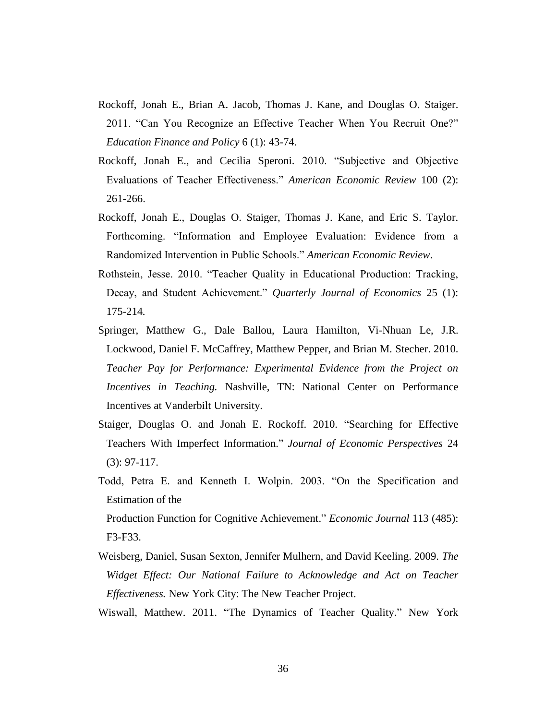- Rockoff, Jonah E., Brian A. Jacob, Thomas J. Kane, and Douglas O. Staiger. 2011. "Can You Recognize an Effective Teacher When You Recruit One?" *Education Finance and Policy* 6 (1): 43-74.
- Rockoff, Jonah E., and Cecilia Speroni. 2010. "Subjective and Objective Evaluations of Teacher Effectiveness." *American Economic Review* 100 (2): 261-266.
- Rockoff, Jonah E., Douglas O. Staiger, Thomas J. Kane, and Eric S. Taylor. Forthcoming. "Information and Employee Evaluation: Evidence from a Randomized Intervention in Public Schools." *American Economic Review*.
- Rothstein, Jesse. 2010. "Teacher Quality in Educational Production: Tracking, Decay, and Student Achievement." *Quarterly Journal of Economics* 25 (1): 175-214*.*
- Springer, Matthew G., Dale Ballou, Laura Hamilton, Vi-Nhuan Le, J.R. Lockwood, Daniel F. McCaffrey, Matthew Pepper, and Brian M. Stecher. 2010. *Teacher Pay for Performance: Experimental Evidence from the Project on Incentives in Teaching.* Nashville, TN: National Center on Performance Incentives at Vanderbilt University.
- Staiger, Douglas O. and Jonah E. Rockoff. 2010. "Searching for Effective Teachers With Imperfect Information." *Journal of Economic Perspectives* 24 (3): 97-117.
- Todd, Petra E. and Kenneth I. Wolpin. 2003. "On the Specification and Estimation of the

Production Function for Cognitive Achievement." *Economic Journal* 113 (485): F3-F33.

Weisberg, Daniel, Susan Sexton, Jennifer Mulhern, and David Keeling. 2009. *The Widget Effect: Our National Failure to Acknowledge and Act on Teacher Effectiveness.* New York City: The New Teacher Project.

Wiswall, Matthew. 2011. "The Dynamics of Teacher Quality." New York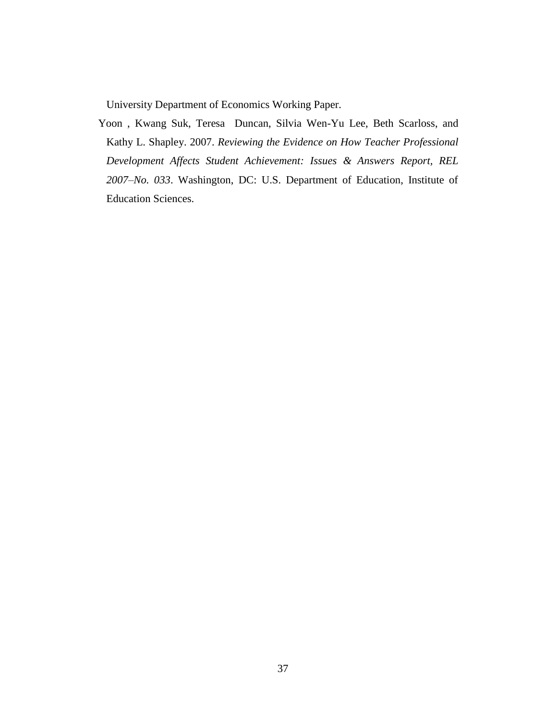University Department of Economics Working Paper.

Yoon , Kwang Suk, Teresa Duncan, Silvia Wen-Yu Lee, Beth Scarloss, and Kathy L. Shapley. 2007. *Reviewing the Evidence on How Teacher Professional Development Affects Student Achievement: Issues & Answers Report, REL 2007–No. 033*. Washington, DC: U.S. Department of Education, Institute of Education Sciences.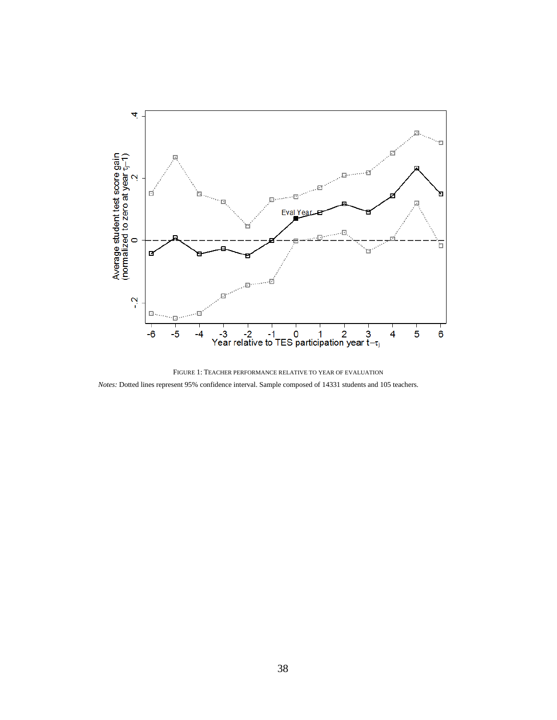

FIGURE 1: TEACHER PERFORMANCE RELATIVE TO YEAR OF EVALUATION *Notes:* Dotted lines represent 95% confidence interval. Sample composed of 14331 students and 105 teachers.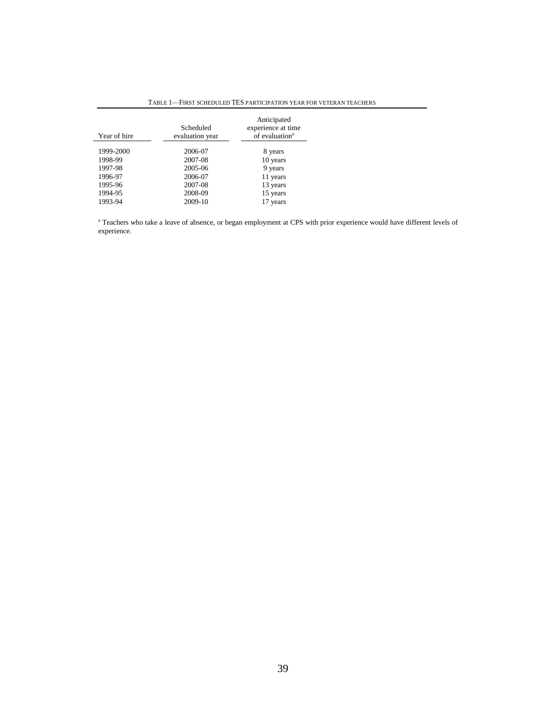| Year of hire | Scheduled<br>evaluation year | Anticipated<br>experience at time<br>of evaluation <sup>a</sup> |
|--------------|------------------------------|-----------------------------------------------------------------|
| 1999-2000    | 2006-07                      | 8 years                                                         |
| 1998-99      | 2007-08                      | 10 years                                                        |
| 1997-98      | 2005-06                      | 9 years                                                         |
| 1996-97      | 2006-07                      | 11 years                                                        |
| 1995-96      | 2007-08                      | 13 years                                                        |
| 1994-95      | 2008-09                      | 15 years                                                        |
| 1993-94      | 2009-10                      | 17 years                                                        |

TABLE 1—FIRST SCHEDULED TES PARTICIPATION YEAR FOR VETERAN TEACHERS

<sup>a</sup> Teachers who take a leave of absence, or began employment at CPS with prior experience would have different levels of experience.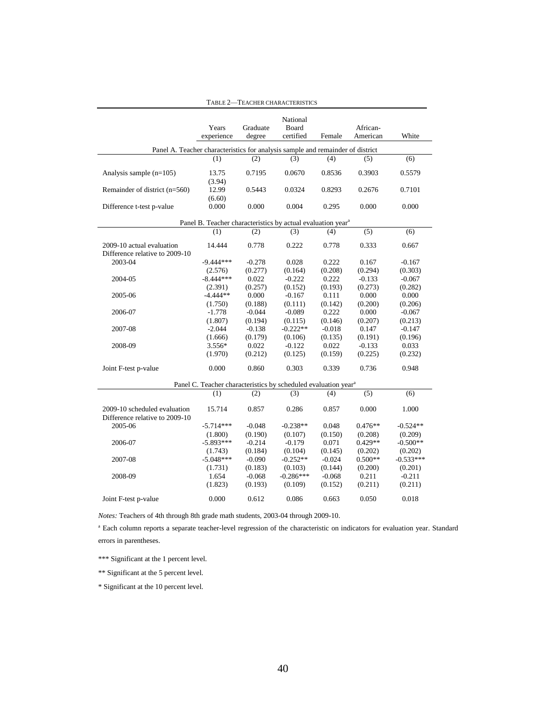|                                                                                | Years                                                                      | Graduate | National<br>Board |          | African-  |             |  |  |
|--------------------------------------------------------------------------------|----------------------------------------------------------------------------|----------|-------------------|----------|-----------|-------------|--|--|
|                                                                                | experience                                                                 | degree   | certified         | Female   | American  | White       |  |  |
| Panel A. Teacher characteristics for analysis sample and remainder of district |                                                                            |          |                   |          |           |             |  |  |
|                                                                                | (1)                                                                        | (2)      | (3)               | (4)      | (5)       | (6)         |  |  |
| Analysis sample $(n=105)$                                                      | 13.75                                                                      | 0.7195   | 0.0670            | 0.8536   | 0.3903    | 0.5579      |  |  |
|                                                                                | (3.94)                                                                     |          |                   |          |           |             |  |  |
| Remainder of district $(n=560)$                                                | 12.99                                                                      | 0.5443   | 0.0324            | 0.8293   | 0.2676    | 0.7101      |  |  |
|                                                                                | (6.60)                                                                     |          |                   |          |           |             |  |  |
| Difference t-test p-value                                                      | 0.000                                                                      | 0.000    | 0.004             | 0.295    | 0.000     | 0.000       |  |  |
|                                                                                | Panel B. Teacher characteristics by actual evaluation year <sup>a</sup>    |          |                   |          |           |             |  |  |
|                                                                                | (1)                                                                        | (2)      | (3)               | (4)      | (5)       | (6)         |  |  |
| 2009-10 actual evaluation                                                      | 14.444                                                                     | 0.778    | 0.222             | 0.778    | 0.333     | 0.667       |  |  |
| Difference relative to 2009-10                                                 |                                                                            |          |                   |          |           |             |  |  |
| 2003-04                                                                        | $-9.444***$                                                                | $-0.278$ | 0.028             | 0.222    | 0.167     | $-0.167$    |  |  |
|                                                                                | (2.576)                                                                    | (0.277)  | (0.164)           | (0.208)  | (0.294)   | (0.303)     |  |  |
| 2004-05                                                                        | $-8.444***$                                                                | 0.022    | $-0.222$          | 0.222    | $-0.133$  | $-0.067$    |  |  |
|                                                                                | (2.391)                                                                    | (0.257)  | (0.152)           | (0.193)  | (0.273)   | (0.282)     |  |  |
| 2005-06                                                                        | $-4.444**$                                                                 | 0.000    | $-0.167$          | 0.111    | 0.000     | 0.000       |  |  |
|                                                                                | (1.750)                                                                    | (0.188)  | (0.111)           | (0.142)  | (0.200)   | (0.206)     |  |  |
| 2006-07                                                                        | $-1.778$                                                                   | $-0.044$ | $-0.089$          | 0.222    | 0.000     | $-0.067$    |  |  |
|                                                                                | (1.807)                                                                    | (0.194)  | (0.115)           | (0.146)  | (0.207)   | (0.213)     |  |  |
| 2007-08                                                                        | $-2.044$                                                                   | $-0.138$ | $-0.222**$        | $-0.018$ | 0.147     | $-0.147$    |  |  |
|                                                                                | (1.666)                                                                    | (0.179)  | (0.106)           | (0.135)  | (0.191)   | (0.196)     |  |  |
| 2008-09                                                                        | 3.556*                                                                     | 0.022    | $-0.122$          | 0.022    | $-0.133$  | 0.033       |  |  |
|                                                                                | (1.970)                                                                    | (0.212)  | (0.125)           | (0.159)  | (0.225)   | (0.232)     |  |  |
| Joint F-test p-value                                                           | 0.000                                                                      | 0.860    | 0.303             | 0.339    | 0.736     | 0.948       |  |  |
|                                                                                |                                                                            |          |                   |          |           |             |  |  |
|                                                                                | Panel C. Teacher characteristics by scheduled evaluation year <sup>a</sup> |          |                   |          |           |             |  |  |
|                                                                                | (1)                                                                        | (2)      | (3)               | (4)      | (5)       | (6)         |  |  |
| 2009-10 scheduled evaluation                                                   | 15.714                                                                     | 0.857    | 0.286             | 0.857    | 0.000     | 1.000       |  |  |
| Difference relative to 2009-10                                                 |                                                                            |          |                   |          |           |             |  |  |
| 2005-06                                                                        | $-5.714***$                                                                | $-0.048$ | $-0.238**$        | 0.048    | $0.476**$ | $-0.524**$  |  |  |
|                                                                                | (1.800)                                                                    | (0.190)  | (0.107)           | (0.150)  | (0.208)   | (0.209)     |  |  |
| 2006-07                                                                        | $-5.893***$                                                                | $-0.214$ | $-0.179$          | 0.071    | $0.429**$ | $-0.500**$  |  |  |
|                                                                                | (1.743)                                                                    | (0.184)  | (0.104)           | (0.145)  | (0.202)   | (0.202)     |  |  |
| 2007-08                                                                        | $-5.048***$                                                                | $-0.090$ | $-0.252**$        | $-0.024$ | $0.500**$ | $-0.533***$ |  |  |
|                                                                                | (1.731)                                                                    | (0.183)  | (0.103)           | (0.144)  | (0.200)   | (0.201)     |  |  |
| 2008-09                                                                        | 1.654                                                                      | $-0.068$ | $-0.286***$       | $-0.068$ | 0.211     | $-0.211$    |  |  |
|                                                                                | (1.823)                                                                    | (0.193)  | (0.109)           | (0.152)  | (0.211)   | (0.211)     |  |  |
|                                                                                |                                                                            |          |                   |          |           |             |  |  |
| Joint F-test p-value                                                           | 0.000                                                                      | 0.612    | 0.086             | 0.663    | 0.050     | 0.018       |  |  |

|  |  | TABLE 2-TEACHER CHARACTERISTICS |
|--|--|---------------------------------|
|--|--|---------------------------------|

*Notes:* Teachers of 4th through 8th grade math students, 2003-04 through 2009-10.

<sup>a</sup> Each column reports a separate teacher-level regression of the characteristic on indicators for evaluation year. Standard errors in parentheses.

\*\*\* Significant at the 1 percent level.

\*\* Significant at the 5 percent level.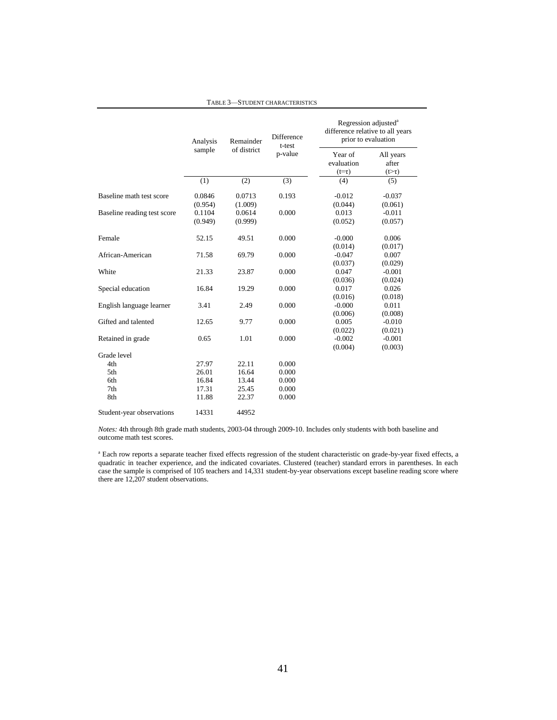|                             | Analysis          | Remainder         | Difference<br>t-test | Regression adjusted <sup>a</sup><br>difference relative to all years<br>prior to evaluation |                                            |  |
|-----------------------------|-------------------|-------------------|----------------------|---------------------------------------------------------------------------------------------|--------------------------------------------|--|
|                             | sample            | of district       | p-value              | Year of<br>evaluation<br>$(t=\tau)$                                                         | All years<br>after<br>$(\rightarrow \tau)$ |  |
|                             | (1)               | (2)               | (3)                  | (4)                                                                                         | (5)                                        |  |
| Baseline math test score    | 0.0846<br>(0.954) | 0.0713<br>(1.009) | 0.193                | $-0.012$<br>(0.044)                                                                         | $-0.037$<br>(0.061)                        |  |
| Baseline reading test score | 0.1104<br>(0.949) | 0.0614<br>(0.999) | 0.000                | 0.013<br>(0.052)                                                                            | $-0.011$<br>(0.057)                        |  |
| Female                      | 52.15             | 49.51             | 0.000                | $-0.000$<br>(0.014)                                                                         | 0.006                                      |  |
| African-American            | 71.58             | 69.79             | 0.000                | $-0.047$<br>(0.037)                                                                         | (0.017)<br>0.007<br>(0.029)                |  |
| White                       | 21.33             | 23.87             | 0.000                | 0.047<br>(0.036)                                                                            | $-0.001$<br>(0.024)                        |  |
| Special education           | 16.84             | 19.29             | 0.000                | 0.017<br>(0.016)                                                                            | 0.026<br>(0.018)                           |  |
| English language learner    | 3.41              | 2.49              | 0.000                | $-0.000$<br>(0.006)                                                                         | 0.011<br>(0.008)                           |  |
| Gifted and talented         | 12.65             | 9.77              | 0.000                | 0.005<br>(0.022)                                                                            | $-0.010$<br>(0.021)                        |  |
| Retained in grade           | 0.65              | 1.01              | 0.000                | $-0.002$<br>(0.004)                                                                         | $-0.001$<br>(0.003)                        |  |
| Grade level                 |                   |                   |                      |                                                                                             |                                            |  |
| 4th                         | 27.97             | 22.11             | 0.000                |                                                                                             |                                            |  |
| 5th                         | 26.01             | 16.64             | 0.000                |                                                                                             |                                            |  |
| 6th                         | 16.84             | 13.44             | 0.000                |                                                                                             |                                            |  |
| 7th                         | 17.31             | 25.45             | 0.000                |                                                                                             |                                            |  |
| 8th                         | 11.88             | 22.37             | 0.000                |                                                                                             |                                            |  |
| Student-year observations   | 14331             | 44952             |                      |                                                                                             |                                            |  |

TABLE 3—STUDENT CHARACTERISTICS

*Notes:* 4th through 8th grade math students, 2003-04 through 2009-10. Includes only students with both baseline and outcome math test scores.

<sup>a</sup> Each row reports a separate teacher fixed effects regression of the student characteristic on grade-by-year fixed effects, a quadratic in teacher experience, and the indicated covariates. Clustered (teacher) standard errors in parentheses. In each case the sample is comprised of 105 teachers and 14,331 student-by-year observations except baseline reading score where there are 12,207 student observations.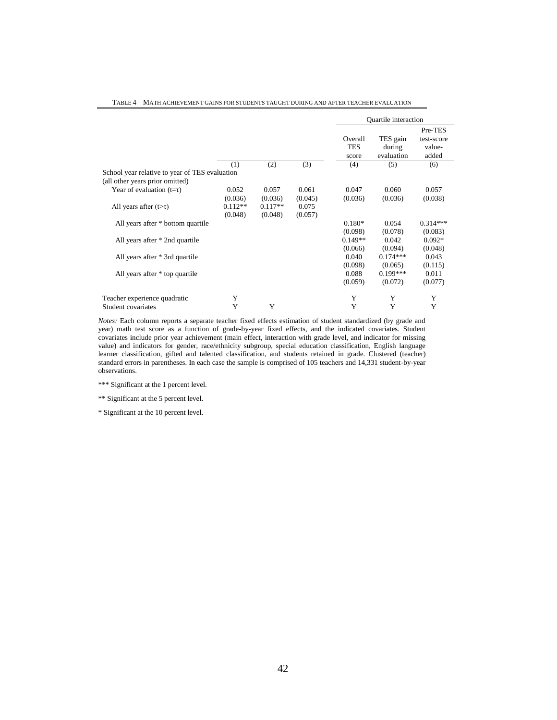|                                                |           |           |         | <b>Ouartile</b> interaction    |                                  |                                          |
|------------------------------------------------|-----------|-----------|---------|--------------------------------|----------------------------------|------------------------------------------|
|                                                |           |           |         | Overall<br><b>TES</b><br>score | TES gain<br>during<br>evaluation | Pre-TES<br>test-score<br>value-<br>added |
|                                                | (1)       | (2)       | (3)     | (4)                            | (5)                              | (6)                                      |
| School year relative to year of TES evaluation |           |           |         |                                |                                  |                                          |
| (all other years prior omitted)                |           |           |         |                                |                                  |                                          |
| Year of evaluation $(t=\tau)$                  | 0.052     | 0.057     | 0.061   | 0.047                          | 0.060                            | 0.057                                    |
|                                                | (0.036)   | (0.036)   | (0.045) | (0.036)                        | (0.036)                          | (0.038)                                  |
| All years after $(\triangleright \tau)$        | $0.112**$ | $0.117**$ | 0.075   |                                |                                  |                                          |
|                                                | (0.048)   | (0.048)   | (0.057) |                                |                                  |                                          |
| All years after * bottom quartile              |           |           |         | $0.180*$                       | 0.054                            | $0.314***$                               |
|                                                |           |           |         | (0.098)                        | (0.078)                          | (0.083)                                  |
| All years after * 2nd quartile                 |           |           |         | $0.149**$                      | 0.042                            | $0.092*$                                 |
|                                                |           |           |         | (0.066)                        | (0.094)                          | (0.048)                                  |
| All years after * 3rd quartile                 |           |           |         | 0.040                          | $0.174***$                       | 0.043                                    |
|                                                |           |           |         | (0.098)                        | (0.065)                          | (0.115)                                  |
| All years after * top quartile                 |           |           |         | 0.088                          | $0.199***$                       | 0.011                                    |
|                                                |           |           |         | (0.059)                        | (0.072)                          | (0.077)                                  |
| Teacher experience quadratic                   | Y         |           |         | Y                              | Y                                | Y                                        |
| Student covariates                             | Y         | Y         |         | Y                              | Y                                | Y                                        |

#### TABLE 4—MATH ACHIEVEMENT GAINS FOR STUDENTS TAUGHT DURING AND AFTER TEACHER EVALUATION

*Notes:* Each column reports a separate teacher fixed effects estimation of student standardized (by grade and year) math test score as a function of grade-by-year fixed effects, and the indicated covariates. Student covariates include prior year achievement (main effect, interaction with grade level, and indicator for missing value) and indicators for gender, race/ethnicity subgroup, special education classification, English language learner classification, gifted and talented classification, and students retained in grade. Clustered (teacher) standard errors in parentheses. In each case the sample is comprised of 105 teachers and 14,331 student-by-year observations.

\*\*\* Significant at the 1 percent level.

\*\* Significant at the 5 percent level.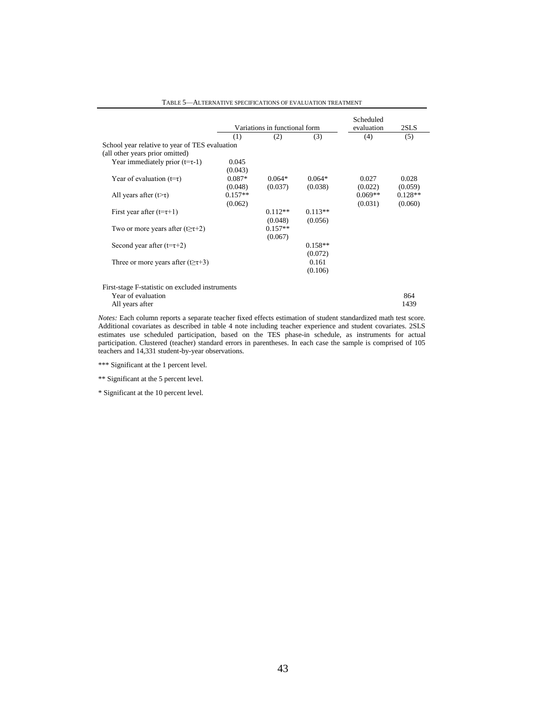|                                                 |           |                               | Scheduled  |           |           |
|-------------------------------------------------|-----------|-------------------------------|------------|-----------|-----------|
|                                                 |           | Variations in functional form | evaluation | 2SLS      |           |
|                                                 | (1)       | (2)                           | (3)        | (4)       | (5)       |
| School year relative to year of TES evaluation  |           |                               |            |           |           |
| (all other years prior omitted)                 |           |                               |            |           |           |
| Year immediately prior $(t=\tau-1)$             | 0.045     |                               |            |           |           |
|                                                 | (0.043)   |                               |            |           |           |
| Year of evaluation $(t=\tau)$                   | $0.087*$  | $0.064*$                      | $0.064*$   | 0.027     | 0.028     |
|                                                 | (0.048)   | (0.037)                       | (0.038)    | (0.022)   | (0.059)   |
| All years after $(\triangleright \tau)$         | $0.157**$ |                               |            | $0.069**$ | $0.128**$ |
|                                                 | (0.062)   |                               |            | (0.031)   | (0.060)   |
| First year after $(t=\tau+1)$                   |           | $0.112**$                     | $0.113**$  |           |           |
|                                                 |           | (0.048)                       | (0.056)    |           |           |
| Two or more years after $(t \geq \tau+2)$       |           | $0.157**$                     |            |           |           |
|                                                 |           | (0.067)                       |            |           |           |
| Second year after $(t=\tau+2)$                  |           |                               | $0.158**$  |           |           |
|                                                 |           |                               | (0.072)    |           |           |
| Three or more years after $(t \geq \tau+3)$     |           |                               | 0.161      |           |           |
|                                                 |           |                               | (0.106)    |           |           |
|                                                 |           |                               |            |           |           |
| First-stage F-statistic on excluded instruments |           |                               |            |           |           |
| Year of evaluation                              |           |                               |            |           | 864       |
| All years after                                 |           |                               |            |           | 1439      |

#### TABLE 5—ALTERNATIVE SPECIFICATIONS OF EVALUATION TREATMENT

*Notes:* Each column reports a separate teacher fixed effects estimation of student standardized math test score. Additional covariates as described in table 4 note including teacher experience and student covariates. 2SLS estimates use scheduled participation, based on the TES phase-in schedule, as instruments for actual participation. Clustered (teacher) standard errors in parentheses. In each case the sample is comprised of 105 teachers and 14,331 student-by-year observations.

\*\*\* Significant at the 1 percent level.

\*\* Significant at the 5 percent level.